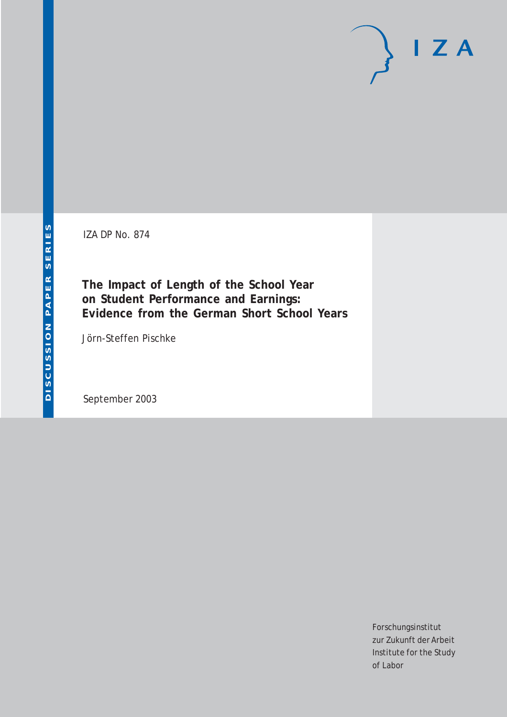IZA DP No. 874

**The Impact of Length of the School Year on Student Performance and Earnings: Evidence from the German Short School Years**

Jörn-Steffen Pischke

September 2003

Forschungsinstitut zur Zukunft der Arbeit Institute for the Study of Labor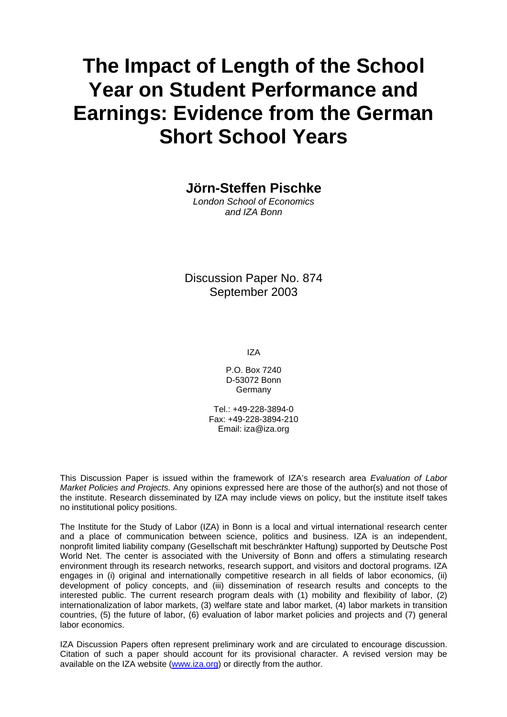# **The Impact of Length of the School Year on Student Performance and Earnings: Evidence from the German Short School Years**

**Jörn-Steffen Pischke** 

*London School of Economics and IZA Bonn*

Discussion Paper No. 874 September 2003

IZA

P.O. Box 7240 D-53072 Bonn Germany

Tel.: +49-228-3894-0 Fax: +49-228-3894-210 Email: [iza@iza.org](mailto:iza@iza.org)

This Discussion Paper is issued within the framework of IZA's research area *Evaluation of Labor Market Policies and Projects.* Any opinions expressed here are those of the author(s) and not those of the institute. Research disseminated by IZA may include views on policy, but the institute itself takes no institutional policy positions.

The Institute for the Study of Labor (IZA) in Bonn is a local and virtual international research center and a place of communication between science, politics and business. IZA is an independent, nonprofit limited liability company (Gesellschaft mit beschränkter Haftung) supported by Deutsche Post World Net. The center is associated with the University of Bonn and offers a stimulating research environment through its research networks, research support, and visitors and doctoral programs. IZA engages in (i) original and internationally competitive research in all fields of labor economics, (ii) development of policy concepts, and (iii) dissemination of research results and concepts to the interested public. The current research program deals with (1) mobility and flexibility of labor, (2) internationalization of labor markets, (3) welfare state and labor market, (4) labor markets in transition countries, (5) the future of labor, (6) evaluation of labor market policies and projects and (7) general labor economics.

IZA Discussion Papers often represent preliminary work and are circulated to encourage discussion. Citation of such a paper should account for its provisional character. A revised version may be available on the IZA website ([www.iza.org](http://www.iza.org/)) or directly from the author.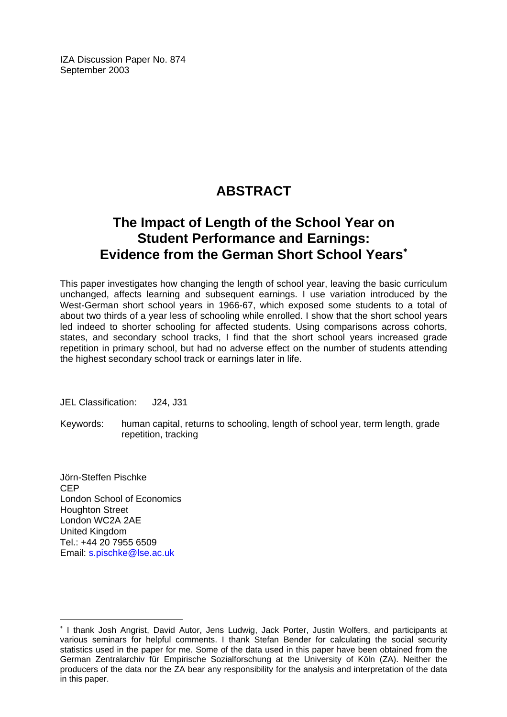IZA Discussion Paper No. 874 September 2003

# **ABSTRACT**

# **The Impact of Length of the School Year on Student Performance and Earnings: Evidence from the German Short School Years**[∗](#page-2-0)

This paper investigates how changing the length of school year, leaving the basic curriculum unchanged, affects learning and subsequent earnings. I use variation introduced by the West-German short school years in 1966-67, which exposed some students to a total of about two thirds of a year less of schooling while enrolled. I show that the short school years led indeed to shorter schooling for affected students. Using comparisons across cohorts, states, and secondary school tracks, I find that the short school years increased grade repetition in primary school, but had no adverse effect on the number of students attending the highest secondary school track or earnings later in life.

JEL Classification: J24, J31

Keywords: human capital, returns to schooling, length of school year, term length, grade repetition, tracking

Jörn-Steffen Pischke CEP London School of Economics Houghton Street London WC2A 2AE United Kingdom Tel.: +44 20 7955 6509 Email: [s.pischke@lse.ac.uk](mailto:s.pischke@lse.ac.uk) 

 $\overline{a}$ 

<span id="page-2-0"></span><sup>∗</sup> I thank Josh Angrist, David Autor, Jens Ludwig, Jack Porter, Justin Wolfers, and participants at various seminars for helpful comments. I thank Stefan Bender for calculating the social security statistics used in the paper for me. Some of the data used in this paper have been obtained from the German Zentralarchiv für Empirische Sozialforschung at the University of Köln (ZA). Neither the producers of the data nor the ZA bear any responsibility for the analysis and interpretation of the data in this paper.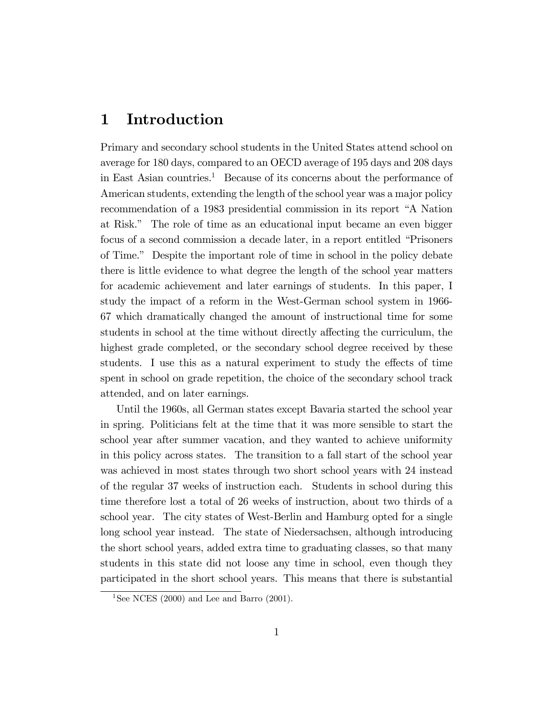# 1 Introduction

Primary and secondary school students in the United States attend school on average for 180 days, compared to an OECD average of 195 days and 208 days in East Asian countries.<sup>1</sup> Because of its concerns about the performance of American students, extending the length of the school year was a major policy recommendation of a 1983 presidential commission in its report "A Nation at Risk.î The role of time as an educational input became an even bigger focus of a second commission a decade later, in a report entitled "Prisoners" of Time.î Despite the important role of time in school in the policy debate there is little evidence to what degree the length of the school year matters for academic achievement and later earnings of students. In this paper, I study the impact of a reform in the West-German school system in 1966- 67 which dramatically changed the amount of instructional time for some students in school at the time without directly affecting the curriculum, the highest grade completed, or the secondary school degree received by these students. I use this as a natural experiment to study the effects of time spent in school on grade repetition, the choice of the secondary school track attended, and on later earnings.

Until the 1960s, all German states except Bavaria started the school year in spring. Politicians felt at the time that it was more sensible to start the school year after summer vacation, and they wanted to achieve uniformity in this policy across states. The transition to a fall start of the school year was achieved in most states through two short school years with 24 instead of the regular 37 weeks of instruction each. Students in school during this time therefore lost a total of 26 weeks of instruction, about two thirds of a school year. The city states of West-Berlin and Hamburg opted for a single long school year instead. The state of Niedersachsen, although introducing the short school years, added extra time to graduating classes, so that many students in this state did not loose any time in school, even though they participated in the short school years. This means that there is substantial

<sup>&</sup>lt;sup>1</sup>See NCES (2000) and Lee and Barro (2001).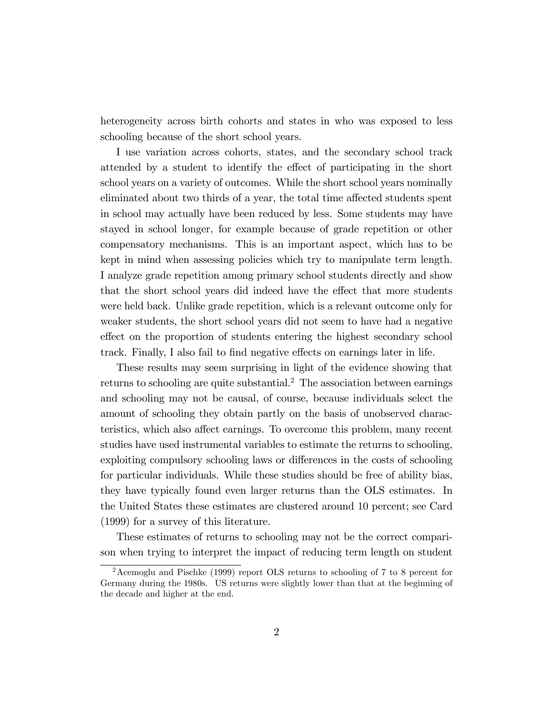heterogeneity across birth cohorts and states in who was exposed to less schooling because of the short school years.

I use variation across cohorts, states, and the secondary school track attended by a student to identify the effect of participating in the short school years on a variety of outcomes. While the short school years nominally eliminated about two thirds of a year, the total time affected students spent in school may actually have been reduced by less. Some students may have stayed in school longer, for example because of grade repetition or other compensatory mechanisms. This is an important aspect, which has to be kept in mind when assessing policies which try to manipulate term length. I analyze grade repetition among primary school students directly and show that the short school years did indeed have the effect that more students were held back. Unlike grade repetition, which is a relevant outcome only for weaker students, the short school years did not seem to have had a negative effect on the proportion of students entering the highest secondary school track. Finally, I also fail to find negative effects on earnings later in life.

These results may seem surprising in light of the evidence showing that returns to schooling are quite substantial.<sup>2</sup> The association between earnings and schooling may not be causal, of course, because individuals select the amount of schooling they obtain partly on the basis of unobserved characteristics, which also affect earnings. To overcome this problem, many recent studies have used instrumental variables to estimate the returns to schooling, exploiting compulsory schooling laws or differences in the costs of schooling for particular individuals. While these studies should be free of ability bias, they have typically found even larger returns than the OLS estimates. In the United States these estimates are clustered around 10 percent; see Card (1999) for a survey of this literature.

These estimates of returns to schooling may not be the correct comparison when trying to interpret the impact of reducing term length on student

<sup>2</sup>Acemoglu and Pischke (1999) report OLS returns to schooling of 7 to 8 percent for Germany during the 1980s. US returns were slightly lower than that at the beginning of the decade and higher at the end.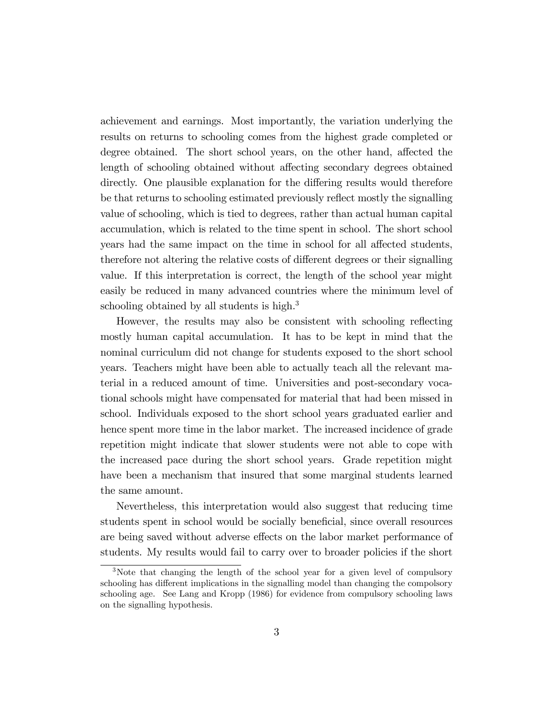achievement and earnings. Most importantly, the variation underlying the results on returns to schooling comes from the highest grade completed or degree obtained. The short school years, on the other hand, affected the length of schooling obtained without affecting secondary degrees obtained directly. One plausible explanation for the differing results would therefore be that returns to schooling estimated previously reflect mostly the signalling value of schooling, which is tied to degrees, rather than actual human capital accumulation, which is related to the time spent in school. The short school years had the same impact on the time in school for all affected students, therefore not altering the relative costs of different degrees or their signalling value. If this interpretation is correct, the length of the school year might easily be reduced in many advanced countries where the minimum level of schooling obtained by all students is high.<sup>3</sup>

However, the results may also be consistent with schooling reflecting mostly human capital accumulation. It has to be kept in mind that the nominal curriculum did not change for students exposed to the short school years. Teachers might have been able to actually teach all the relevant material in a reduced amount of time. Universities and post-secondary vocational schools might have compensated for material that had been missed in school. Individuals exposed to the short school years graduated earlier and hence spent more time in the labor market. The increased incidence of grade repetition might indicate that slower students were not able to cope with the increased pace during the short school years. Grade repetition might have been a mechanism that insured that some marginal students learned the same amount.

Nevertheless, this interpretation would also suggest that reducing time students spent in school would be socially beneficial, since overall resources are being saved without adverse effects on the labor market performance of students. My results would fail to carry over to broader policies if the short

<sup>&</sup>lt;sup>3</sup>Note that changing the length of the school year for a given level of compulsory schooling has different implications in the signalling model than changing the compolsory schooling age. See Lang and Kropp (1986) for evidence from compulsory schooling laws on the signalling hypothesis.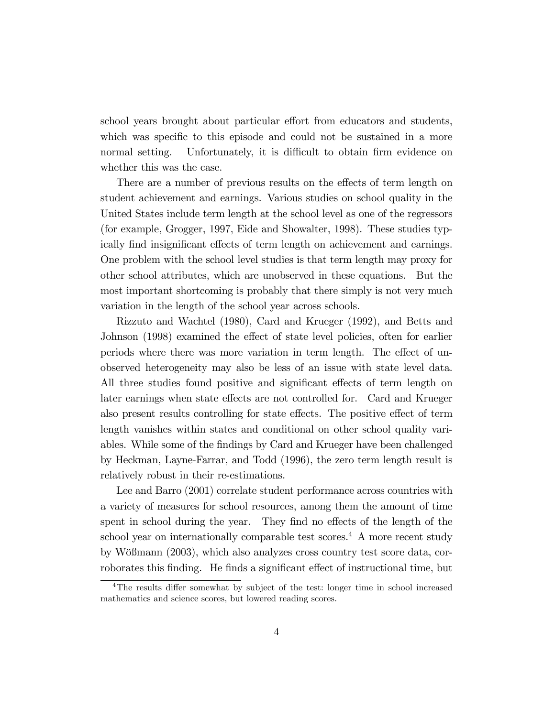school years brought about particular effort from educators and students, which was specific to this episode and could not be sustained in a more normal setting. Unfortunately, it is difficult to obtain firm evidence on whether this was the case.

There are a number of previous results on the effects of term length on student achievement and earnings. Various studies on school quality in the United States include term length at the school level as one of the regressors (for example, Grogger, 1997, Eide and Showalter, 1998). These studies typically find insignificant effects of term length on achievement and earnings. One problem with the school level studies is that term length may proxy for other school attributes, which are unobserved in these equations. But the most important shortcoming is probably that there simply is not very much variation in the length of the school year across schools.

Rizzuto and Wachtel (1980), Card and Krueger (1992), and Betts and Johnson (1998) examined the effect of state level policies, often for earlier periods where there was more variation in term length. The effect of unobserved heterogeneity may also be less of an issue with state level data. All three studies found positive and significant effects of term length on later earnings when state effects are not controlled for. Card and Krueger also present results controlling for state effects. The positive effect of term length vanishes within states and conditional on other school quality variables. While some of the Öndings by Card and Krueger have been challenged by Heckman, Layne-Farrar, and Todd (1996), the zero term length result is relatively robust in their re-estimations.

Lee and Barro (2001) correlate student performance across countries with a variety of measures for school resources, among them the amount of time spent in school during the year. They find no effects of the length of the school year on internationally comparable test scores.<sup>4</sup> A more recent study by Wößmann (2003), which also analyzes cross country test score data, corroborates this finding. He finds a significant effect of instructional time, but

 ${}^{4}$ The results differ somewhat by subject of the test: longer time in school increased mathematics and science scores, but lowered reading scores.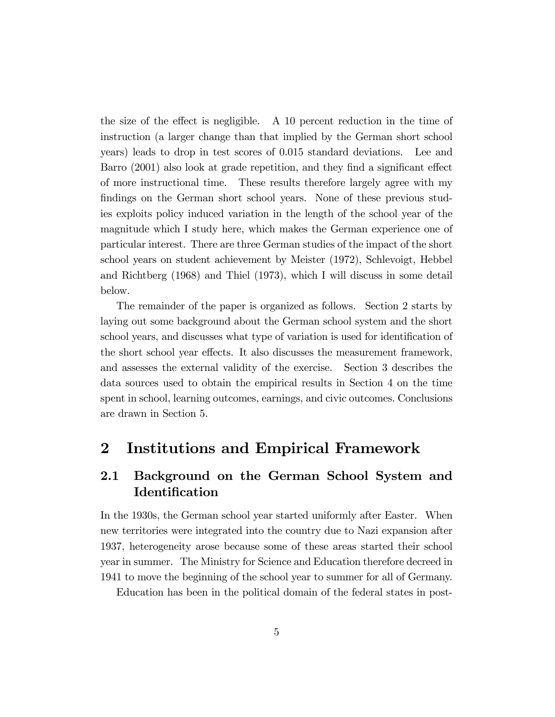the size of the effect is negligible. A 10 percent reduction in the time of instruction (a larger change than that implied by the German short school years) leads to drop in test scores of 0.015 standard deviations. Lee and Barro (2001) also look at grade repetition, and they find a significant effect of more instructional time. These results therefore largely agree with my findings on the German short school years. None of these previous studies exploits policy induced variation in the length of the school year of the magnitude which I study here, which makes the German experience one of particular interest. There are three German studies of the impact of the short school years on student achievement by Meister (1972), Schlevoigt, Hebbel and Richtberg (1968) and Thiel (1973), which I will discuss in some detail below.

The remainder of the paper is organized as follows. Section 2 starts by laying out some background about the German school system and the short school years, and discusses what type of variation is used for identification of the short school year effects. It also discusses the measurement framework, and assesses the external validity of the exercise. Section 3 describes the data sources used to obtain the empirical results in Section 4 on the time spent in school, learning outcomes, earnings, and civic outcomes. Conclusions are drawn in Section 5.

## 2 Institutions and Empirical Framework

### 2.1 Background on the German School System and **Identification**

In the 1930s, the German school year started uniformly after Easter. When new territories were integrated into the country due to Nazi expansion after 1937, heterogeneity arose because some of these areas started their school year in summer. The Ministry for Science and Education therefore decreed in 1941 to move the beginning of the school year to summer for all of Germany.

Education has been in the political domain of the federal states in post-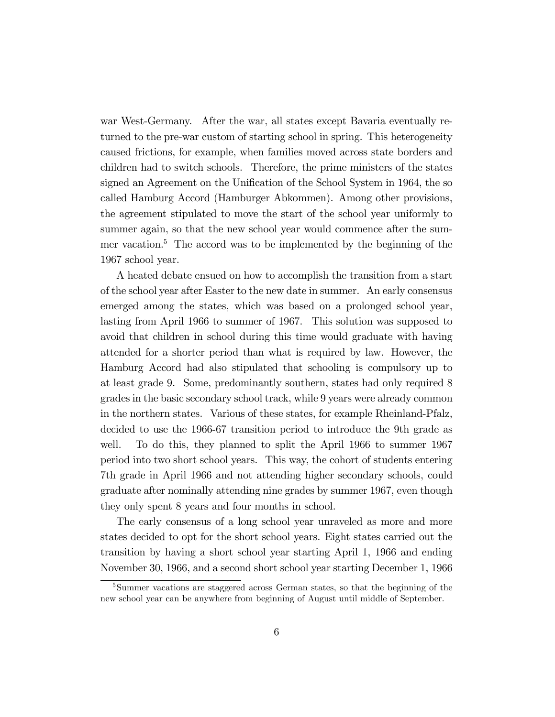war West-Germany. After the war, all states except Bavaria eventually returned to the pre-war custom of starting school in spring. This heterogeneity caused frictions, for example, when families moved across state borders and children had to switch schools. Therefore, the prime ministers of the states signed an Agreement on the Unification of the School System in 1964, the so called Hamburg Accord (Hamburger Abkommen). Among other provisions, the agreement stipulated to move the start of the school year uniformly to summer again, so that the new school year would commence after the summer vacation.<sup>5</sup> The accord was to be implemented by the beginning of the 1967 school year.

A heated debate ensued on how to accomplish the transition from a start of the school year after Easter to the new date in summer. An early consensus emerged among the states, which was based on a prolonged school year, lasting from April 1966 to summer of 1967. This solution was supposed to avoid that children in school during this time would graduate with having attended for a shorter period than what is required by law. However, the Hamburg Accord had also stipulated that schooling is compulsory up to at least grade 9. Some, predominantly southern, states had only required 8 grades in the basic secondary school track, while 9 years were already common in the northern states. Various of these states, for example Rheinland-Pfalz, decided to use the 1966-67 transition period to introduce the 9th grade as well. To do this, they planned to split the April 1966 to summer 1967 period into two short school years. This way, the cohort of students entering 7th grade in April 1966 and not attending higher secondary schools, could graduate after nominally attending nine grades by summer 1967, even though they only spent 8 years and four months in school.

The early consensus of a long school year unraveled as more and more states decided to opt for the short school years. Eight states carried out the transition by having a short school year starting April 1, 1966 and ending November 30, 1966, and a second short school year starting December 1, 1966

<sup>&</sup>lt;sup>5</sup>Summer vacations are staggered across German states, so that the beginning of the new school year can be anywhere from beginning of August until middle of September.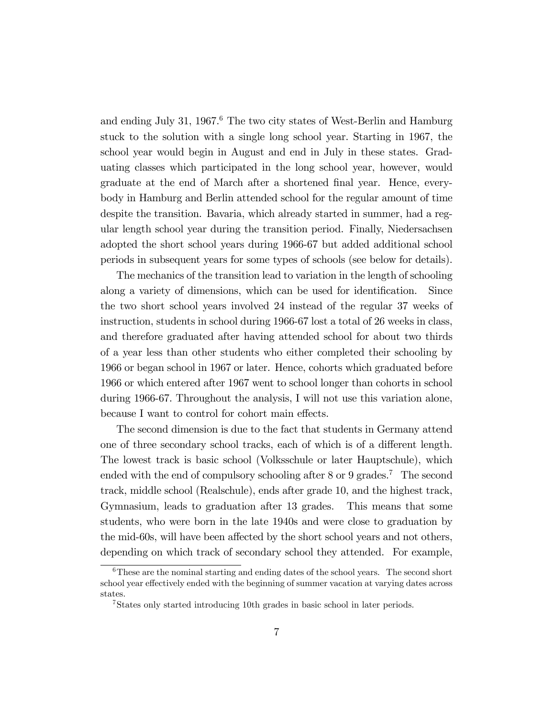and ending July 31, 1967.<sup>6</sup> The two city states of West-Berlin and Hamburg stuck to the solution with a single long school year. Starting in 1967, the school year would begin in August and end in July in these states. Graduating classes which participated in the long school year, however, would graduate at the end of March after a shortened final year. Hence, everybody in Hamburg and Berlin attended school for the regular amount of time despite the transition. Bavaria, which already started in summer, had a regular length school year during the transition period. Finally, Niedersachsen adopted the short school years during 1966-67 but added additional school periods in subsequent years for some types of schools (see below for details).

The mechanics of the transition lead to variation in the length of schooling along a variety of dimensions, which can be used for identification. Since the two short school years involved 24 instead of the regular 37 weeks of instruction, students in school during 1966-67 lost a total of 26 weeks in class, and therefore graduated after having attended school for about two thirds of a year less than other students who either completed their schooling by 1966 or began school in 1967 or later. Hence, cohorts which graduated before 1966 or which entered after 1967 went to school longer than cohorts in school during 1966-67. Throughout the analysis, I will not use this variation alone, because I want to control for cohort main effects.

The second dimension is due to the fact that students in Germany attend one of three secondary school tracks, each of which is of a different length. The lowest track is basic school (Volksschule or later Hauptschule), which ended with the end of compulsory schooling after  $8 \text{ or } 9$  grades.<sup>7</sup> The second track, middle school (Realschule), ends after grade 10, and the highest track, Gymnasium, leads to graduation after 13 grades. This means that some students, who were born in the late 1940s and were close to graduation by the mid-60s, will have been affected by the short school years and not others, depending on which track of secondary school they attended. For example,

<sup>&</sup>lt;sup>6</sup>These are the nominal starting and ending dates of the school years. The second short school year effectively ended with the beginning of summer vacation at varying dates across states.

<sup>7</sup>States only started introducing 10th grades in basic school in later periods.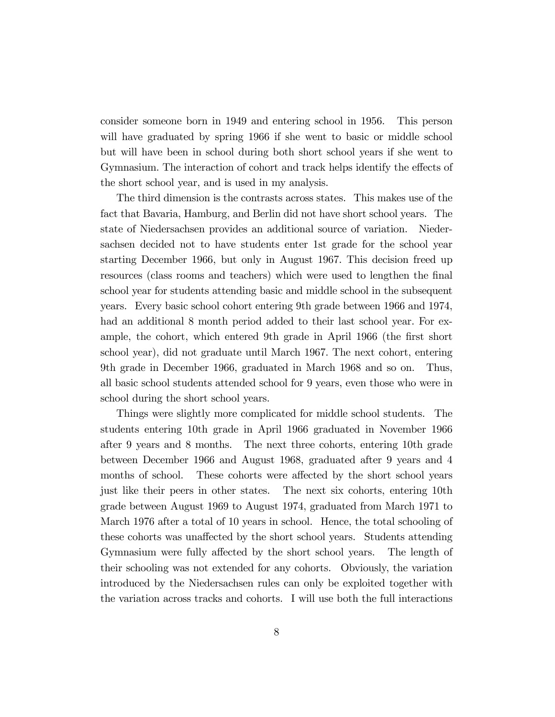consider someone born in 1949 and entering school in 1956. This person will have graduated by spring 1966 if she went to basic or middle school but will have been in school during both short school years if she went to Gymnasium. The interaction of cohort and track helps identify the effects of the short school year, and is used in my analysis.

The third dimension is the contrasts across states. This makes use of the fact that Bavaria, Hamburg, and Berlin did not have short school years. The state of Niedersachsen provides an additional source of variation. Niedersachsen decided not to have students enter 1st grade for the school year starting December 1966, but only in August 1967. This decision freed up resources (class rooms and teachers) which were used to lengthen the final school year for students attending basic and middle school in the subsequent years. Every basic school cohort entering 9th grade between 1966 and 1974, had an additional 8 month period added to their last school year. For example, the cohort, which entered 9th grade in April 1966 (the first short school year), did not graduate until March 1967. The next cohort, entering 9th grade in December 1966, graduated in March 1968 and so on. Thus, all basic school students attended school for 9 years, even those who were in school during the short school years.

Things were slightly more complicated for middle school students. The students entering 10th grade in April 1966 graduated in November 1966 after 9 years and 8 months. The next three cohorts, entering 10th grade between December 1966 and August 1968, graduated after 9 years and 4 months of school. These cohorts were affected by the short school years just like their peers in other states. The next six cohorts, entering 10th grade between August 1969 to August 1974, graduated from March 1971 to March 1976 after a total of 10 years in school. Hence, the total schooling of these cohorts was unaffected by the short school years. Students attending Gymnasium were fully affected by the short school years. The length of their schooling was not extended for any cohorts. Obviously, the variation introduced by the Niedersachsen rules can only be exploited together with the variation across tracks and cohorts. I will use both the full interactions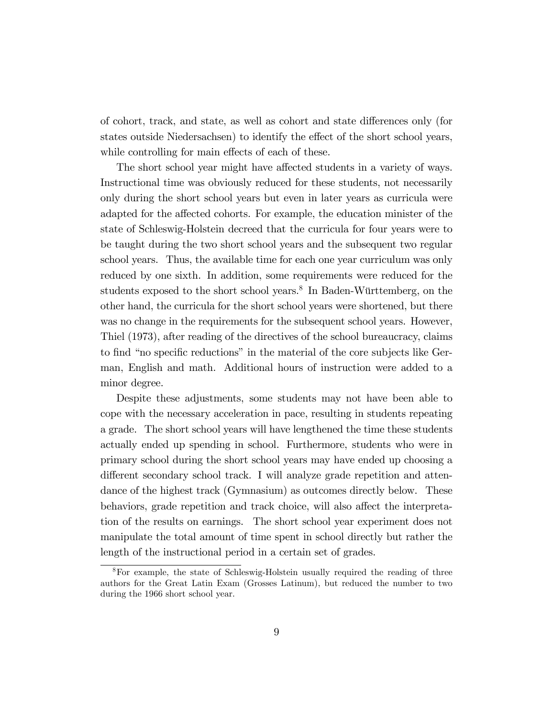of cohort, track, and state, as well as cohort and state differences only (for states outside Niedersachsen) to identify the effect of the short school years, while controlling for main effects of each of these.

The short school year might have affected students in a variety of ways. Instructional time was obviously reduced for these students, not necessarily only during the short school years but even in later years as curricula were adapted for the affected cohorts. For example, the education minister of the state of Schleswig-Holstein decreed that the curricula for four years were to be taught during the two short school years and the subsequent two regular school years. Thus, the available time for each one year curriculum was only reduced by one sixth. In addition, some requirements were reduced for the students exposed to the short school years.<sup>8</sup> In Baden-Württemberg, on the other hand, the curricula for the short school years were shortened, but there was no change in the requirements for the subsequent school years. However, Thiel (1973), after reading of the directives of the school bureaucracy, claims to find "no specific reductions" in the material of the core subjects like German, English and math. Additional hours of instruction were added to a minor degree.

Despite these adjustments, some students may not have been able to cope with the necessary acceleration in pace, resulting in students repeating a grade. The short school years will have lengthened the time these students actually ended up spending in school. Furthermore, students who were in primary school during the short school years may have ended up choosing a different secondary school track. I will analyze grade repetition and attendance of the highest track (Gymnasium) as outcomes directly below. These behaviors, grade repetition and track choice, will also affect the interpretation of the results on earnings. The short school year experiment does not manipulate the total amount of time spent in school directly but rather the length of the instructional period in a certain set of grades.

<sup>8</sup>For example, the state of Schleswig-Holstein usually required the reading of three authors for the Great Latin Exam (Grosses Latinum), but reduced the number to two during the 1966 short school year.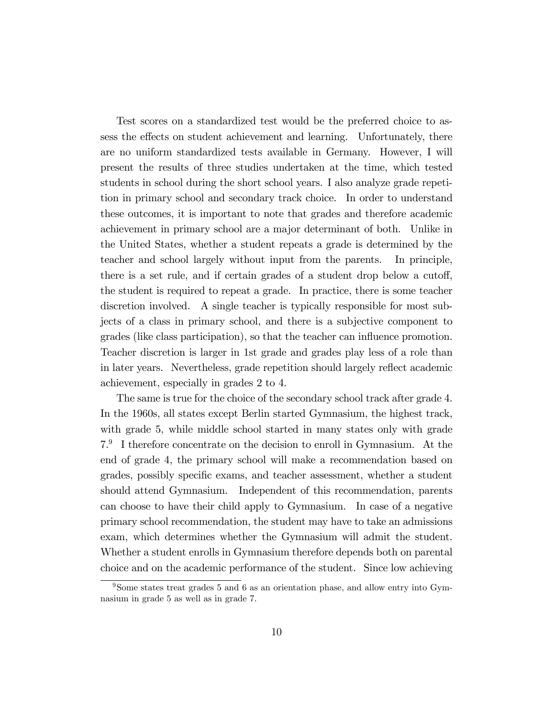Test scores on a standardized test would be the preferred choice to assess the effects on student achievement and learning. Unfortunately, there are no uniform standardized tests available in Germany. However, I will present the results of three studies undertaken at the time, which tested students in school during the short school years. I also analyze grade repetition in primary school and secondary track choice. In order to understand these outcomes, it is important to note that grades and therefore academic achievement in primary school are a major determinant of both. Unlike in the United States, whether a student repeats a grade is determined by the teacher and school largely without input from the parents. In principle, there is a set rule, and if certain grades of a student drop below a cutoff, the student is required to repeat a grade. In practice, there is some teacher discretion involved. A single teacher is typically responsible for most subjects of a class in primary school, and there is a subjective component to grades (like class participation), so that the teacher can ináuence promotion. Teacher discretion is larger in 1st grade and grades play less of a role than in later years. Nevertheless, grade repetition should largely reflect academic achievement, especially in grades 2 to 4.

The same is true for the choice of the secondary school track after grade 4. In the 1960s, all states except Berlin started Gymnasium, the highest track, with grade 5, while middle school started in many states only with grade 7.9 I therefore concentrate on the decision to enroll in Gymnasium. At the end of grade 4, the primary school will make a recommendation based on grades, possibly specific exams, and teacher assessment, whether a student should attend Gymnasium. Independent of this recommendation, parents can choose to have their child apply to Gymnasium. In case of a negative primary school recommendation, the student may have to take an admissions exam, which determines whether the Gymnasium will admit the student. Whether a student enrolls in Gymnasium therefore depends both on parental choice and on the academic performance of the student. Since low achieving

<sup>9</sup>Some states treat grades 5 and 6 as an orientation phase, and allow entry into Gymnasium in grade 5 as well as in grade 7.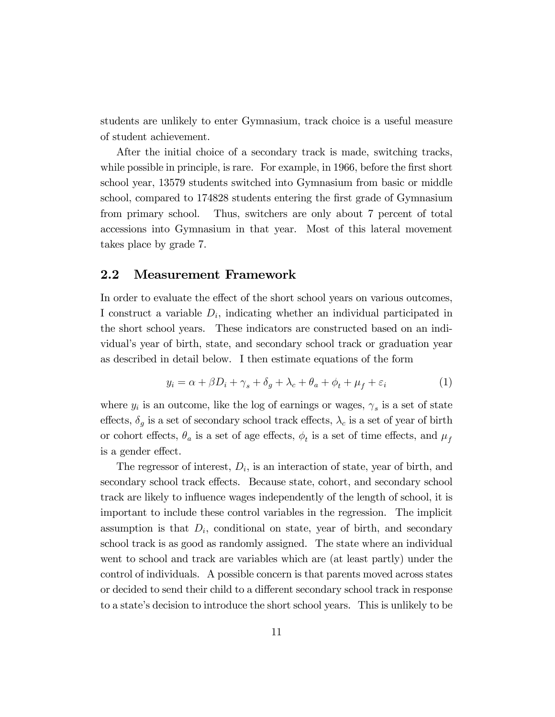students are unlikely to enter Gymnasium, track choice is a useful measure of student achievement.

After the initial choice of a secondary track is made, switching tracks, while possible in principle, is rare. For example, in 1966, before the first short school year, 13579 students switched into Gymnasium from basic or middle school, compared to 174828 students entering the first grade of Gymnasium from primary school. Thus, switchers are only about 7 percent of total accessions into Gymnasium in that year. Most of this lateral movement takes place by grade 7.

### 2.2 Measurement Framework

In order to evaluate the effect of the short school years on various outcomes, I construct a variable  $D_i$ , indicating whether an individual participated in the short school years. These indicators are constructed based on an individualís year of birth, state, and secondary school track or graduation year as described in detail below. I then estimate equations of the form

$$
y_i = \alpha + \beta D_i + \gamma_s + \delta_g + \lambda_c + \theta_a + \phi_t + \mu_f + \varepsilon_i \tag{1}
$$

where  $y_i$  is an outcome, like the log of earnings or wages,  $\gamma_s$  is a set of state effects,  $\delta_g$  is a set of secondary school track effects,  $\lambda_c$  is a set of year of birth or cohort effects,  $\theta_a$  is a set of age effects,  $\phi_t$  is a set of time effects, and  $\mu_f$ is a gender effect.

The regressor of interest,  $D_i$ , is an interaction of state, year of birth, and secondary school track effects. Because state, cohort, and secondary school track are likely to influence wages independently of the length of school, it is important to include these control variables in the regression. The implicit assumption is that  $D_i$ , conditional on state, year of birth, and secondary school track is as good as randomly assigned. The state where an individual went to school and track are variables which are (at least partly) under the control of individuals. A possible concern is that parents moved across states or decided to send their child to a different secondary school track in response to a stateís decision to introduce the short school years. This is unlikely to be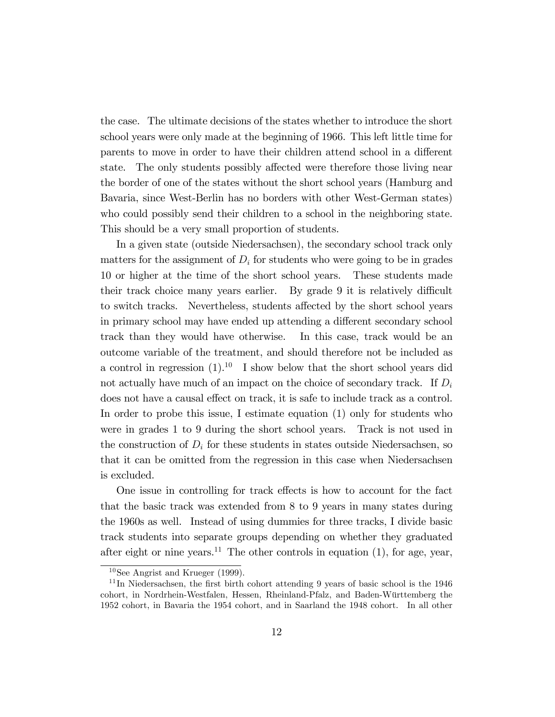the case. The ultimate decisions of the states whether to introduce the short school years were only made at the beginning of 1966. This left little time for parents to move in order to have their children attend school in a different state. The only students possibly affected were therefore those living near the border of one of the states without the short school years (Hamburg and Bavaria, since West-Berlin has no borders with other West-German states) who could possibly send their children to a school in the neighboring state. This should be a very small proportion of students.

In a given state (outside Niedersachsen), the secondary school track only matters for the assignment of  $D_i$  for students who were going to be in grades 10 or higher at the time of the short school years. These students made their track choice many years earlier. By grade 9 it is relatively difficult to switch tracks. Nevertheless, students affected by the short school years in primary school may have ended up attending a different secondary school track than they would have otherwise. In this case, track would be an outcome variable of the treatment, and should therefore not be included as a control in regression  $(1).<sup>10</sup>$  I show below that the short school years did not actually have much of an impact on the choice of secondary track. If  $D_i$ does not have a causal effect on track, it is safe to include track as a control. In order to probe this issue, I estimate equation (1) only for students who were in grades 1 to 9 during the short school years. Track is not used in the construction of  $D_i$  for these students in states outside Niedersachsen, so that it can be omitted from the regression in this case when Niedersachsen is excluded.

One issue in controlling for track effects is how to account for the fact that the basic track was extended from 8 to 9 years in many states during the 1960s as well. Instead of using dummies for three tracks, I divide basic track students into separate groups depending on whether they graduated after eight or nine years.<sup>11</sup> The other controls in equation  $(1)$ , for age, year,

<sup>10</sup>See Angrist and Krueger (1999).

 $11$ In Niedersachsen, the first birth cohort attending 9 years of basic school is the 1946 cohort, in Nordrhein-Westfalen, Hessen, Rheinland-Pfalz, and Baden-Württemberg the 1952 cohort, in Bavaria the 1954 cohort, and in Saarland the 1948 cohort. In all other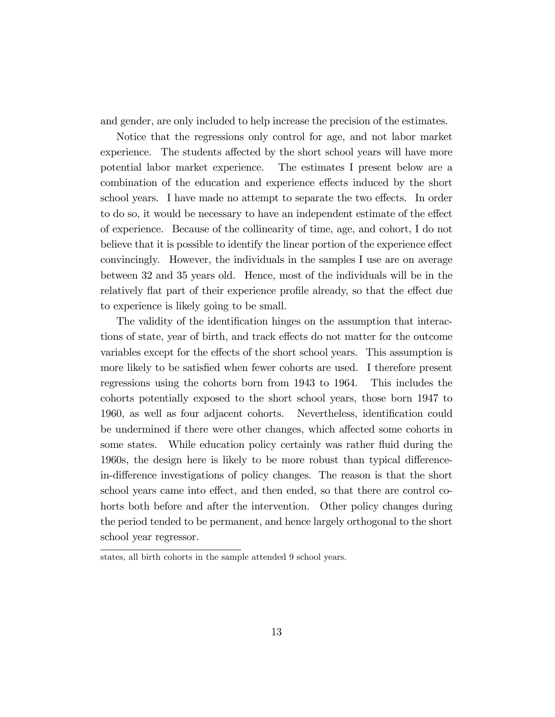and gender, are only included to help increase the precision of the estimates.

Notice that the regressions only control for age, and not labor market experience. The students affected by the short school years will have more potential labor market experience. The estimates I present below are a combination of the education and experience effects induced by the short school years. I have made no attempt to separate the two effects. In order to do so, it would be necessary to have an independent estimate of the effect of experience. Because of the collinearity of time, age, and cohort, I do not believe that it is possible to identify the linear portion of the experience effect convincingly. However, the individuals in the samples I use are on average between 32 and 35 years old. Hence, most of the individuals will be in the relatively flat part of their experience profile already, so that the effect due to experience is likely going to be small.

The validity of the identification hinges on the assumption that interactions of state, year of birth, and track effects do not matter for the outcome variables except for the effects of the short school years. This assumption is more likely to be satisfied when fewer cohorts are used. I therefore present regressions using the cohorts born from 1943 to 1964. This includes the cohorts potentially exposed to the short school years, those born 1947 to 1960, as well as four adjacent cohorts. Nevertheless, identification could be undermined if there were other changes, which affected some cohorts in some states. While education policy certainly was rather fluid during the 1960s, the design here is likely to be more robust than typical differencein-difference investigations of policy changes. The reason is that the short school years came into effect, and then ended, so that there are control cohorts both before and after the intervention. Other policy changes during the period tended to be permanent, and hence largely orthogonal to the short school year regressor.

states, all birth cohorts in the sample attended 9 school years.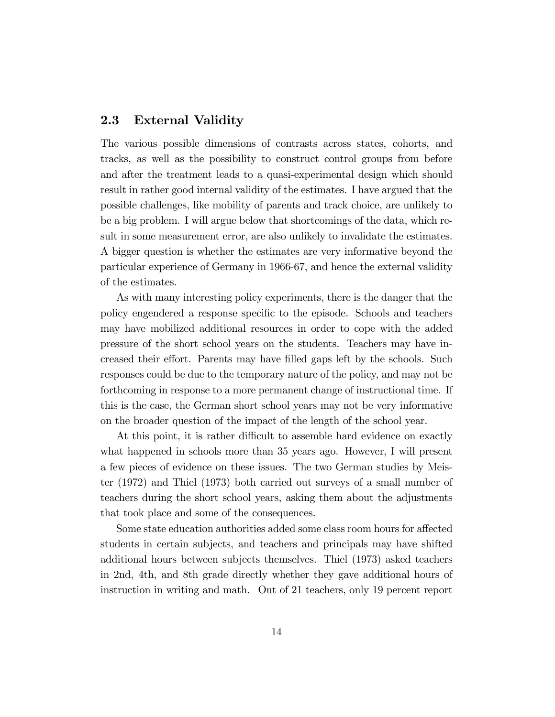### 2.3 External Validity

The various possible dimensions of contrasts across states, cohorts, and tracks, as well as the possibility to construct control groups from before and after the treatment leads to a quasi-experimental design which should result in rather good internal validity of the estimates. I have argued that the possible challenges, like mobility of parents and track choice, are unlikely to be a big problem. I will argue below that shortcomings of the data, which result in some measurement error, are also unlikely to invalidate the estimates. A bigger question is whether the estimates are very informative beyond the particular experience of Germany in 1966-67, and hence the external validity of the estimates.

As with many interesting policy experiments, there is the danger that the policy engendered a response specific to the episode. Schools and teachers may have mobilized additional resources in order to cope with the added pressure of the short school years on the students. Teachers may have increased their effort. Parents may have filled gaps left by the schools. Such responses could be due to the temporary nature of the policy, and may not be forthcoming in response to a more permanent change of instructional time. If this is the case, the German short school years may not be very informative on the broader question of the impact of the length of the school year.

At this point, it is rather difficult to assemble hard evidence on exactly what happened in schools more than 35 years ago. However, I will present a few pieces of evidence on these issues. The two German studies by Meister (1972) and Thiel (1973) both carried out surveys of a small number of teachers during the short school years, asking them about the adjustments that took place and some of the consequences.

Some state education authorities added some class room hours for affected students in certain subjects, and teachers and principals may have shifted additional hours between subjects themselves. Thiel (1973) asked teachers in 2nd, 4th, and 8th grade directly whether they gave additional hours of instruction in writing and math. Out of 21 teachers, only 19 percent report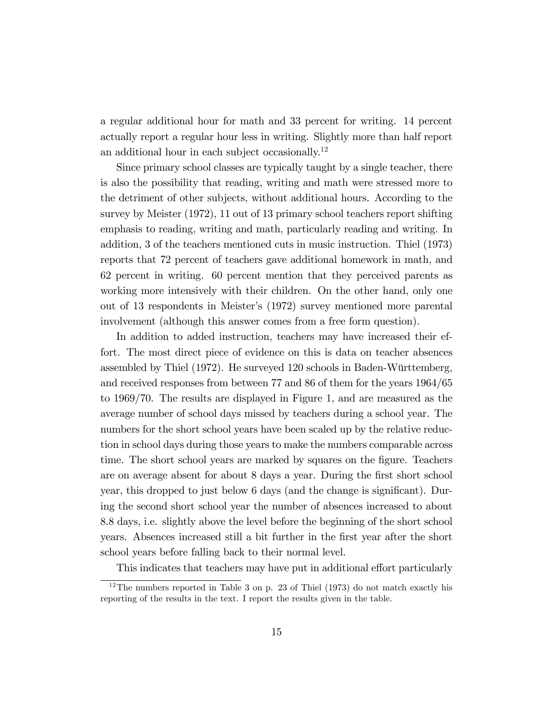a regular additional hour for math and 33 percent for writing. 14 percent actually report a regular hour less in writing. Slightly more than half report an additional hour in each subject occasionally.<sup>12</sup>

Since primary school classes are typically taught by a single teacher, there is also the possibility that reading, writing and math were stressed more to the detriment of other subjects, without additional hours. According to the survey by Meister (1972), 11 out of 13 primary school teachers report shifting emphasis to reading, writing and math, particularly reading and writing. In addition, 3 of the teachers mentioned cuts in music instruction. Thiel (1973) reports that 72 percent of teachers gave additional homework in math, and 62 percent in writing. 60 percent mention that they perceived parents as working more intensively with their children. On the other hand, only one out of 13 respondents in Meisterís (1972) survey mentioned more parental involvement (although this answer comes from a free form question).

In addition to added instruction, teachers may have increased their effort. The most direct piece of evidence on this is data on teacher absences assembled by Thiel (1972). He surveyed 120 schools in Baden-Württemberg, and received responses from between 77 and 86 of them for the years 1964/65 to 1969/70. The results are displayed in Figure 1, and are measured as the average number of school days missed by teachers during a school year. The numbers for the short school years have been scaled up by the relative reduction in school days during those years to make the numbers comparable across time. The short school years are marked by squares on the figure. Teachers are on average absent for about 8 days a year. During the Örst short school year, this dropped to just below 6 days (and the change is significant). During the second short school year the number of absences increased to about 8.8 days, i.e. slightly above the level before the beginning of the short school years. Absences increased still a bit further in the Örst year after the short school years before falling back to their normal level.

This indicates that teachers may have put in additional effort particularly

 $12$ The numbers reported in Table 3 on p. 23 of Thiel (1973) do not match exactly his reporting of the results in the text. I report the results given in the table.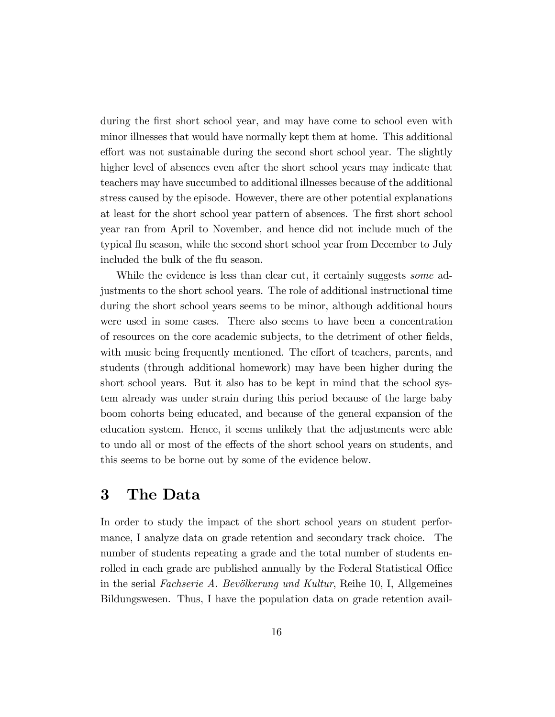during the first short school year, and may have come to school even with minor illnesses that would have normally kept them at home. This additional effort was not sustainable during the second short school year. The slightly higher level of absences even after the short school years may indicate that teachers may have succumbed to additional illnesses because of the additional stress caused by the episode. However, there are other potential explanations at least for the short school year pattern of absences. The Örst short school year ran from April to November, and hence did not include much of the typical áu season, while the second short school year from December to July included the bulk of the flu season.

While the evidence is less than clear cut, it certainly suggests *some* adjustments to the short school years. The role of additional instructional time during the short school years seems to be minor, although additional hours were used in some cases. There also seems to have been a concentration of resources on the core academic subjects, to the detriment of other Öelds, with music being frequently mentioned. The effort of teachers, parents, and students (through additional homework) may have been higher during the short school years. But it also has to be kept in mind that the school system already was under strain during this period because of the large baby boom cohorts being educated, and because of the general expansion of the education system. Hence, it seems unlikely that the adjustments were able to undo all or most of the effects of the short school years on students, and this seems to be borne out by some of the evidence below.

# 3 The Data

In order to study the impact of the short school years on student performance, I analyze data on grade retention and secondary track choice. The number of students repeating a grade and the total number of students enrolled in each grade are published annually by the Federal Statistical Office in the serial Fachserie A. Bevölkerung und Kultur, Reihe 10, I, Allgemeines Bildungswesen. Thus, I have the population data on grade retention avail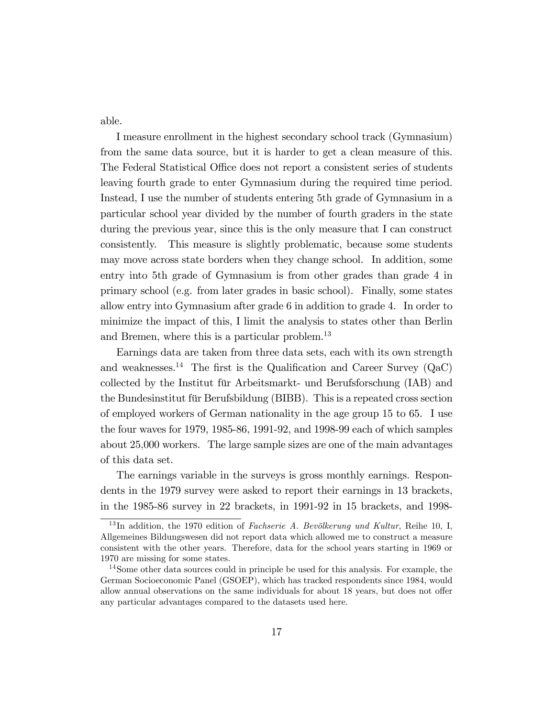able.

I measure enrollment in the highest secondary school track (Gymnasium) from the same data source, but it is harder to get a clean measure of this. The Federal Statistical Office does not report a consistent series of students leaving fourth grade to enter Gymnasium during the required time period. Instead, I use the number of students entering 5th grade of Gymnasium in a particular school year divided by the number of fourth graders in the state during the previous year, since this is the only measure that I can construct consistently. This measure is slightly problematic, because some students may move across state borders when they change school. In addition, some entry into 5th grade of Gymnasium is from other grades than grade 4 in primary school (e.g. from later grades in basic school). Finally, some states allow entry into Gymnasium after grade 6 in addition to grade 4. In order to minimize the impact of this, I limit the analysis to states other than Berlin and Bremen, where this is a particular problem.<sup>13</sup>

Earnings data are taken from three data sets, each with its own strength and weaknesses.<sup>14</sup> The first is the Qualification and Career Survey (QaC) collected by the Institut für Arbeitsmarkt- und Berufsforschung (IAB) and the Bundesinstitut für Berufsbildung (BIBB). This is a repeated cross section of employed workers of German nationality in the age group 15 to 65. I use the four waves for 1979, 1985-86, 1991-92, and 1998-99 each of which samples about 25,000 workers. The large sample sizes are one of the main advantages of this data set.

The earnings variable in the surveys is gross monthly earnings. Respondents in the 1979 survey were asked to report their earnings in 13 brackets, in the 1985-86 survey in 22 brackets, in 1991-92 in 15 brackets, and 1998-

 $^{13}$ In addition, the 1970 edition of *Fachserie A. Bevölkerung und Kultur*, Reihe 10, I, Allgemeines Bildungswesen did not report data which allowed me to construct a measure consistent with the other years. Therefore, data for the school years starting in 1969 or 1970 are missing for some states.

<sup>&</sup>lt;sup>14</sup>Some other data sources could in principle be used for this analysis. For example, the German Socioeconomic Panel (GSOEP), which has tracked respondents since 1984, would allow annual observations on the same individuals for about 18 years, but does not offer any particular advantages compared to the datasets used here.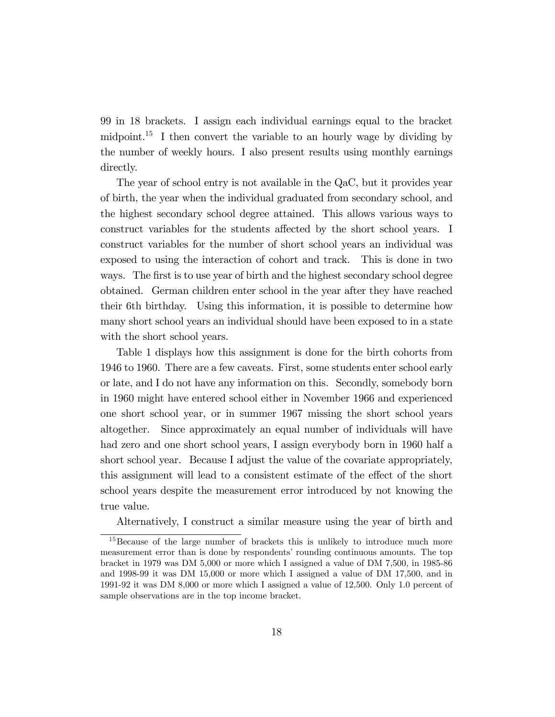99 in 18 brackets. I assign each individual earnings equal to the bracket midpoint.<sup>15</sup> I then convert the variable to an hourly wage by dividing by the number of weekly hours. I also present results using monthly earnings directly.

The year of school entry is not available in the QaC, but it provides year of birth, the year when the individual graduated from secondary school, and the highest secondary school degree attained. This allows various ways to construct variables for the students affected by the short school years. I construct variables for the number of short school years an individual was exposed to using the interaction of cohort and track. This is done in two ways. The first is to use year of birth and the highest secondary school degree obtained. German children enter school in the year after they have reached their 6th birthday. Using this information, it is possible to determine how many short school years an individual should have been exposed to in a state with the short school years.

Table 1 displays how this assignment is done for the birth cohorts from 1946 to 1960. There are a few caveats. First, some students enter school early or late, and I do not have any information on this. Secondly, somebody born in 1960 might have entered school either in November 1966 and experienced one short school year, or in summer 1967 missing the short school years altogether. Since approximately an equal number of individuals will have had zero and one short school years, I assign everybody born in 1960 half a short school year. Because I adjust the value of the covariate appropriately, this assignment will lead to a consistent estimate of the effect of the short school years despite the measurement error introduced by not knowing the true value.

Alternatively, I construct a similar measure using the year of birth and

<sup>&</sup>lt;sup>15</sup>Because of the large number of brackets this is unlikely to introduce much more measurement error than is done by respondents' rounding continuous amounts. The top bracket in 1979 was DM 5,000 or more which I assigned a value of DM 7,500, in 1985-86 and 1998-99 it was DM 15,000 or more which I assigned a value of DM 17,500, and in 1991-92 it was DM 8,000 or more which I assigned a value of 12,500. Only 1.0 percent of sample observations are in the top income bracket.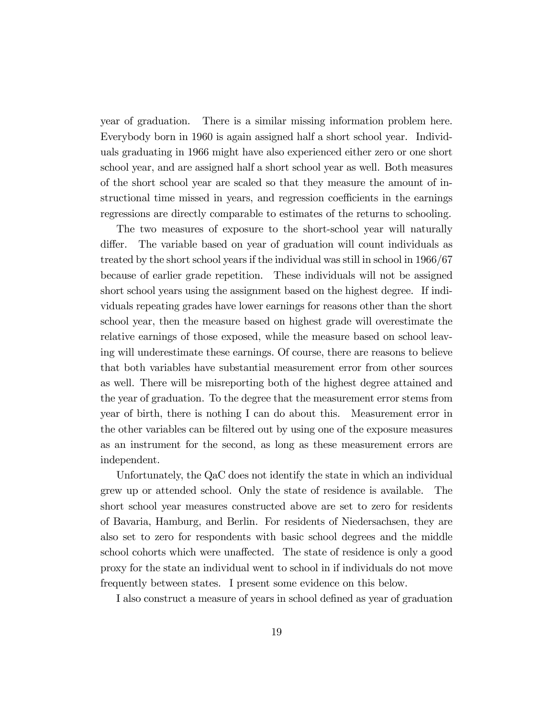year of graduation. There is a similar missing information problem here. Everybody born in 1960 is again assigned half a short school year. Individuals graduating in 1966 might have also experienced either zero or one short school year, and are assigned half a short school year as well. Both measures of the short school year are scaled so that they measure the amount of instructional time missed in years, and regression coefficients in the earnings regressions are directly comparable to estimates of the returns to schooling.

The two measures of exposure to the short-school year will naturally differ. The variable based on year of graduation will count individuals as treated by the short school years if the individual was still in school in 1966/67 because of earlier grade repetition. These individuals will not be assigned short school years using the assignment based on the highest degree. If individuals repeating grades have lower earnings for reasons other than the short school year, then the measure based on highest grade will overestimate the relative earnings of those exposed, while the measure based on school leaving will underestimate these earnings. Of course, there are reasons to believe that both variables have substantial measurement error from other sources as well. There will be misreporting both of the highest degree attained and the year of graduation. To the degree that the measurement error stems from year of birth, there is nothing I can do about this. Measurement error in the other variables can be filtered out by using one of the exposure measures as an instrument for the second, as long as these measurement errors are independent.

Unfortunately, the QaC does not identify the state in which an individual grew up or attended school. Only the state of residence is available. The short school year measures constructed above are set to zero for residents of Bavaria, Hamburg, and Berlin. For residents of Niedersachsen, they are also set to zero for respondents with basic school degrees and the middle school cohorts which were unaffected. The state of residence is only a good proxy for the state an individual went to school in if individuals do not move frequently between states. I present some evidence on this below.

I also construct a measure of years in school defined as year of graduation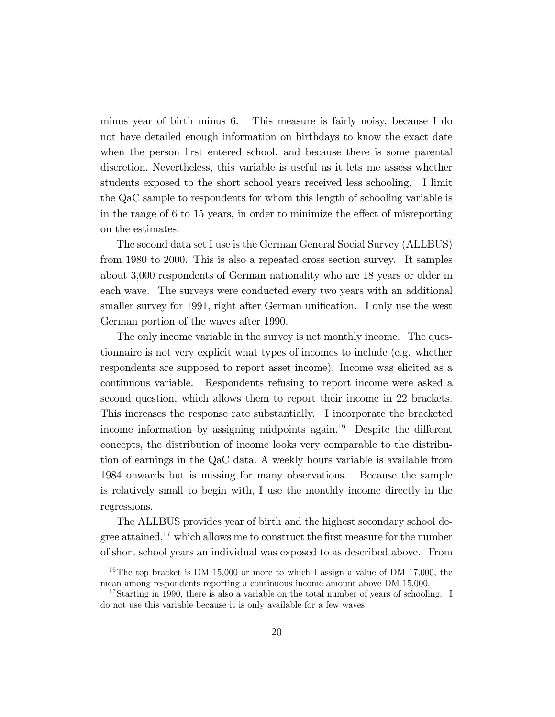minus year of birth minus 6. This measure is fairly noisy, because I do not have detailed enough information on birthdays to know the exact date when the person first entered school, and because there is some parental discretion. Nevertheless, this variable is useful as it lets me assess whether students exposed to the short school years received less schooling. I limit the QaC sample to respondents for whom this length of schooling variable is in the range of  $6$  to  $15$  years, in order to minimize the effect of misreporting on the estimates.

The second data set I use is the German General Social Survey (ALLBUS) from 1980 to 2000. This is also a repeated cross section survey. It samples about 3,000 respondents of German nationality who are 18 years or older in each wave. The surveys were conducted every two years with an additional smaller survey for 1991, right after German unification. I only use the west German portion of the waves after 1990.

The only income variable in the survey is net monthly income. The questionnaire is not very explicit what types of incomes to include (e.g. whether respondents are supposed to report asset income). Income was elicited as a continuous variable. Respondents refusing to report income were asked a second question, which allows them to report their income in 22 brackets. This increases the response rate substantially. I incorporate the bracketed income information by assigning midpoints again.<sup>16</sup> Despite the different concepts, the distribution of income looks very comparable to the distribution of earnings in the QaC data. A weekly hours variable is available from 1984 onwards but is missing for many observations. Because the sample is relatively small to begin with, I use the monthly income directly in the regressions.

The ALLBUS provides year of birth and the highest secondary school degree attained,<sup>17</sup> which allows me to construct the first measure for the number of short school years an individual was exposed to as described above. From

<sup>&</sup>lt;sup>16</sup>The top bracket is DM 15,000 or more to which I assign a value of DM 17,000, the mean among respondents reporting a continuous income amount above DM 15,000.

<sup>&</sup>lt;sup>17</sup>Starting in 1990, there is also a variable on the total number of years of schooling. I do not use this variable because it is only available for a few waves.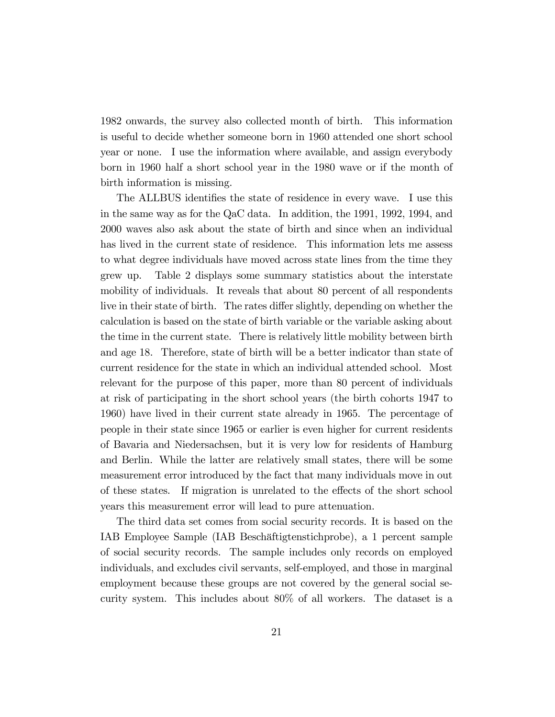1982 onwards, the survey also collected month of birth. This information is useful to decide whether someone born in 1960 attended one short school year or none. I use the information where available, and assign everybody born in 1960 half a short school year in the 1980 wave or if the month of birth information is missing.

The ALLBUS identifies the state of residence in every wave. I use this in the same way as for the QaC data. In addition, the 1991, 1992, 1994, and 2000 waves also ask about the state of birth and since when an individual has lived in the current state of residence. This information lets me assess to what degree individuals have moved across state lines from the time they grew up. Table 2 displays some summary statistics about the interstate mobility of individuals. It reveals that about 80 percent of all respondents live in their state of birth. The rates differ slightly, depending on whether the calculation is based on the state of birth variable or the variable asking about the time in the current state. There is relatively little mobility between birth and age 18. Therefore, state of birth will be a better indicator than state of current residence for the state in which an individual attended school. Most relevant for the purpose of this paper, more than 80 percent of individuals at risk of participating in the short school years (the birth cohorts 1947 to 1960) have lived in their current state already in 1965. The percentage of people in their state since 1965 or earlier is even higher for current residents of Bavaria and Niedersachsen, but it is very low for residents of Hamburg and Berlin. While the latter are relatively small states, there will be some measurement error introduced by the fact that many individuals move in out of these states. If migration is unrelated to the effects of the short school years this measurement error will lead to pure attenuation.

The third data set comes from social security records. It is based on the IAB Employee Sample (IAB Beschäftigtenstichprobe), a 1 percent sample of social security records. The sample includes only records on employed individuals, and excludes civil servants, self-employed, and those in marginal employment because these groups are not covered by the general social security system. This includes about 80% of all workers. The dataset is a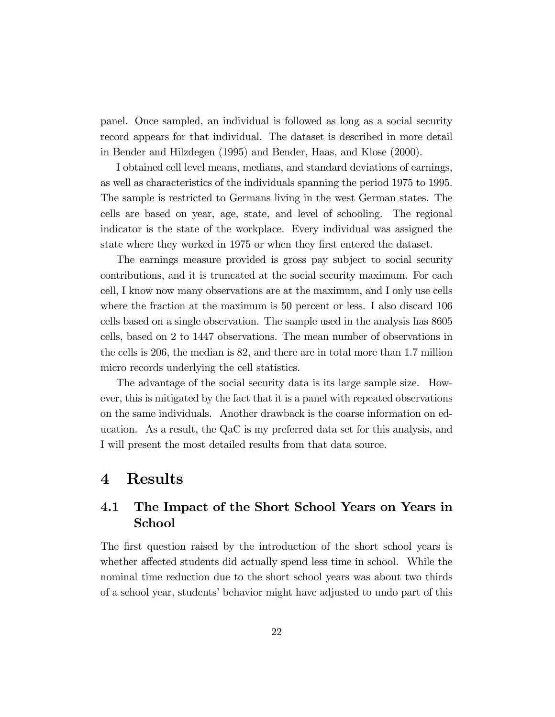panel. Once sampled, an individual is followed as long as a social security record appears for that individual. The dataset is described in more detail in Bender and Hilzdegen (1995) and Bender, Haas, and Klose (2000).

I obtained cell level means, medians, and standard deviations of earnings, as well as characteristics of the individuals spanning the period 1975 to 1995. The sample is restricted to Germans living in the west German states. The cells are based on year, age, state, and level of schooling. The regional indicator is the state of the workplace. Every individual was assigned the state where they worked in 1975 or when they first entered the dataset.

The earnings measure provided is gross pay subject to social security contributions, and it is truncated at the social security maximum. For each cell, I know now many observations are at the maximum, and I only use cells where the fraction at the maximum is 50 percent or less. I also discard 106 cells based on a single observation. The sample used in the analysis has 8605 cells, based on 2 to 1447 observations. The mean number of observations in the cells is 206, the median is 82, and there are in total more than 1.7 million micro records underlying the cell statistics.

The advantage of the social security data is its large sample size. However, this is mitigated by the fact that it is a panel with repeated observations on the same individuals. Another drawback is the coarse information on education. As a result, the QaC is my preferred data set for this analysis, and I will present the most detailed results from that data source.

## 4 Results

### 4.1 The Impact of the Short School Years on Years in School

The first question raised by the introduction of the short school years is whether affected students did actually spend less time in school. While the nominal time reduction due to the short school years was about two thirds of a school year, studentsíbehavior might have adjusted to undo part of this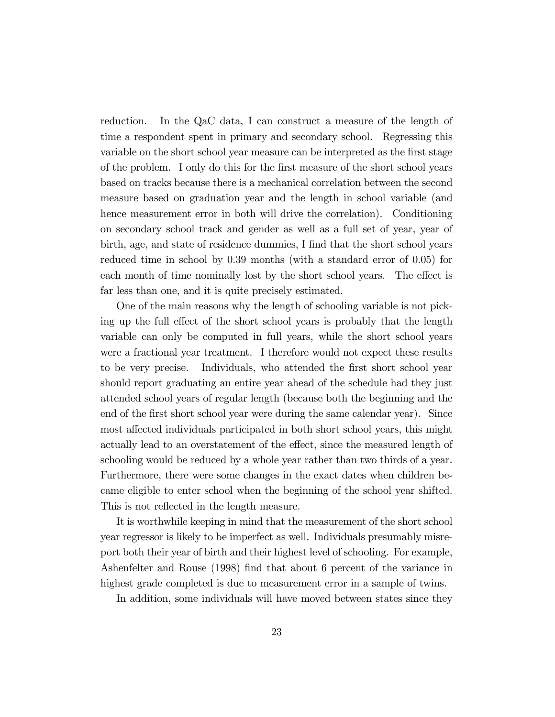reduction. In the QaC data, I can construct a measure of the length of time a respondent spent in primary and secondary school. Regressing this variable on the short school year measure can be interpreted as the first stage of the problem. I only do this for the first measure of the short school years based on tracks because there is a mechanical correlation between the second measure based on graduation year and the length in school variable (and hence measurement error in both will drive the correlation). Conditioning on secondary school track and gender as well as a full set of year, year of birth, age, and state of residence dummies, I find that the short school years reduced time in school by 0.39 months (with a standard error of 0.05) for each month of time nominally lost by the short school years. The effect is far less than one, and it is quite precisely estimated.

One of the main reasons why the length of schooling variable is not picking up the full effect of the short school years is probably that the length variable can only be computed in full years, while the short school years were a fractional year treatment. I therefore would not expect these results to be very precise. Individuals, who attended the first short school year should report graduating an entire year ahead of the schedule had they just attended school years of regular length (because both the beginning and the end of the first short school year were during the same calendar year). Since most affected individuals participated in both short school years, this might actually lead to an overstatement of the effect, since the measured length of schooling would be reduced by a whole year rather than two thirds of a year. Furthermore, there were some changes in the exact dates when children became eligible to enter school when the beginning of the school year shifted. This is not reflected in the length measure.

It is worthwhile keeping in mind that the measurement of the short school year regressor is likely to be imperfect as well. Individuals presumably misreport both their year of birth and their highest level of schooling. For example, Ashenfelter and Rouse (1998) Önd that about 6 percent of the variance in highest grade completed is due to measurement error in a sample of twins.

In addition, some individuals will have moved between states since they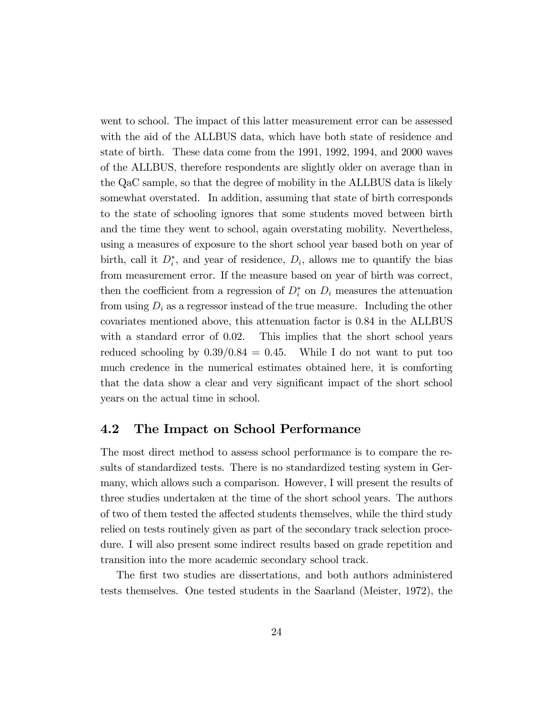went to school. The impact of this latter measurement error can be assessed with the aid of the ALLBUS data, which have both state of residence and state of birth. These data come from the 1991, 1992, 1994, and 2000 waves of the ALLBUS, therefore respondents are slightly older on average than in the QaC sample, so that the degree of mobility in the ALLBUS data is likely somewhat overstated. In addition, assuming that state of birth corresponds to the state of schooling ignores that some students moved between birth and the time they went to school, again overstating mobility. Nevertheless, using a measures of exposure to the short school year based both on year of birth, call it  $D_i^*$ , and year of residence,  $D_i$ , allows me to quantify the bias from measurement error. If the measure based on year of birth was correct, then the coefficient from a regression of  $D_i^*$  on  $D_i$  measures the attenuation from using  $D_i$  as a regressor instead of the true measure. Including the other covariates mentioned above, this attenuation factor is 0.84 in the ALLBUS with a standard error of 0.02. This implies that the short school years reduced schooling by  $0.39/0.84 = 0.45$ . While I do not want to put too much credence in the numerical estimates obtained here, it is comforting that the data show a clear and very significant impact of the short school years on the actual time in school.

#### 4.2 The Impact on School Performance

The most direct method to assess school performance is to compare the results of standardized tests. There is no standardized testing system in Germany, which allows such a comparison. However, I will present the results of three studies undertaken at the time of the short school years. The authors of two of them tested the affected students themselves, while the third study relied on tests routinely given as part of the secondary track selection procedure. I will also present some indirect results based on grade repetition and transition into the more academic secondary school track.

The first two studies are dissertations, and both authors administered tests themselves. One tested students in the Saarland (Meister, 1972), the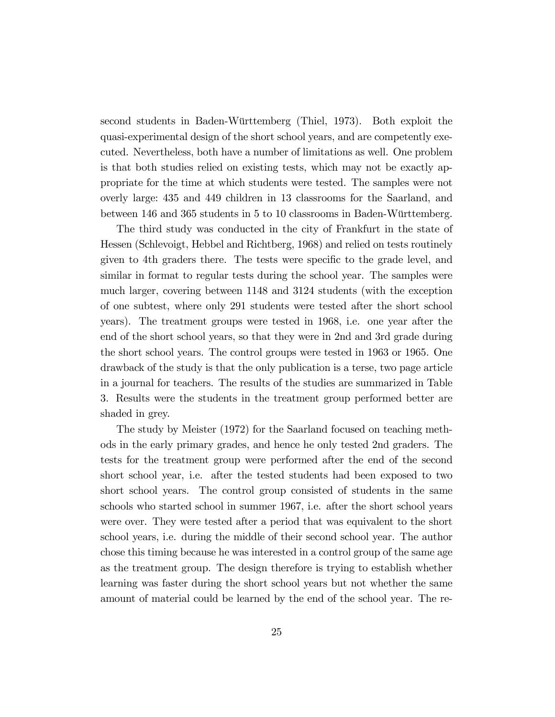second students in Baden-Württemberg (Thiel, 1973). Both exploit the quasi-experimental design of the short school years, and are competently executed. Nevertheless, both have a number of limitations as well. One problem is that both studies relied on existing tests, which may not be exactly appropriate for the time at which students were tested. The samples were not overly large: 435 and 449 children in 13 classrooms for the Saarland, and between 146 and 365 students in 5 to 10 classrooms in Baden-Württemberg.

The third study was conducted in the city of Frankfurt in the state of Hessen (Schlevoigt, Hebbel and Richtberg, 1968) and relied on tests routinely given to 4th graders there. The tests were specific to the grade level, and similar in format to regular tests during the school year. The samples were much larger, covering between 1148 and 3124 students (with the exception of one subtest, where only 291 students were tested after the short school years). The treatment groups were tested in 1968, i.e. one year after the end of the short school years, so that they were in 2nd and 3rd grade during the short school years. The control groups were tested in 1963 or 1965. One drawback of the study is that the only publication is a terse, two page article in a journal for teachers. The results of the studies are summarized in Table 3. Results were the students in the treatment group performed better are shaded in grey.

The study by Meister (1972) for the Saarland focused on teaching methods in the early primary grades, and hence he only tested 2nd graders. The tests for the treatment group were performed after the end of the second short school year, i.e. after the tested students had been exposed to two short school years. The control group consisted of students in the same schools who started school in summer 1967, i.e. after the short school years were over. They were tested after a period that was equivalent to the short school years, i.e. during the middle of their second school year. The author chose this timing because he was interested in a control group of the same age as the treatment group. The design therefore is trying to establish whether learning was faster during the short school years but not whether the same amount of material could be learned by the end of the school year. The re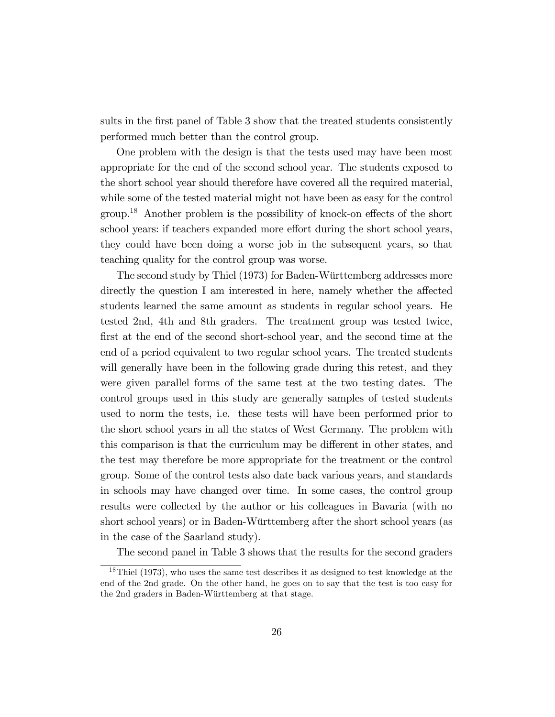sults in the first panel of Table 3 show that the treated students consistently performed much better than the control group.

One problem with the design is that the tests used may have been most appropriate for the end of the second school year. The students exposed to the short school year should therefore have covered all the required material, while some of the tested material might not have been as easy for the control group.<sup>18</sup> Another problem is the possibility of knock-on effects of the short school years: if teachers expanded more effort during the short school years, they could have been doing a worse job in the subsequent years, so that teaching quality for the control group was worse.

The second study by Thiel (1973) for Baden-Württemberg addresses more directly the question I am interested in here, namely whether the affected students learned the same amount as students in regular school years. He tested 2nd, 4th and 8th graders. The treatment group was tested twice, first at the end of the second short-school year, and the second time at the end of a period equivalent to two regular school years. The treated students will generally have been in the following grade during this retest, and they were given parallel forms of the same test at the two testing dates. The control groups used in this study are generally samples of tested students used to norm the tests, i.e. these tests will have been performed prior to the short school years in all the states of West Germany. The problem with this comparison is that the curriculum may be different in other states, and the test may therefore be more appropriate for the treatment or the control group. Some of the control tests also date back various years, and standards in schools may have changed over time. In some cases, the control group results were collected by the author or his colleagues in Bavaria (with no short school years) or in Baden-Württemberg after the short school years (as in the case of the Saarland study).

The second panel in Table 3 shows that the results for the second graders

<sup>&</sup>lt;sup>18</sup>Thiel (1973), who uses the same test describes it as designed to test knowledge at the end of the 2nd grade. On the other hand, he goes on to say that the test is too easy for the 2nd graders in Baden-Württemberg at that stage.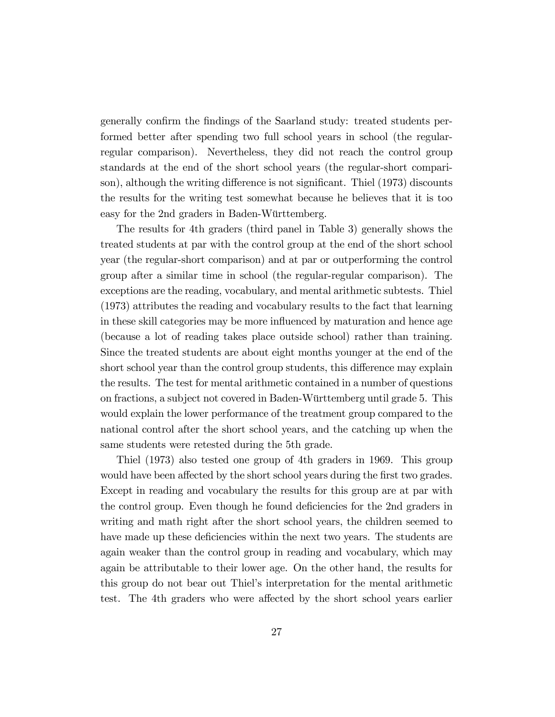generally confirm the findings of the Saarland study: treated students performed better after spending two full school years in school (the regularregular comparison). Nevertheless, they did not reach the control group standards at the end of the short school years (the regular-short comparison), although the writing difference is not significant. Thiel (1973) discounts the results for the writing test somewhat because he believes that it is too easy for the 2nd graders in Baden-Württemberg.

The results for 4th graders (third panel in Table 3) generally shows the treated students at par with the control group at the end of the short school year (the regular-short comparison) and at par or outperforming the control group after a similar time in school (the regular-regular comparison). The exceptions are the reading, vocabulary, and mental arithmetic subtests. Thiel (1973) attributes the reading and vocabulary results to the fact that learning in these skill categories may be more influenced by maturation and hence age (because a lot of reading takes place outside school) rather than training. Since the treated students are about eight months younger at the end of the short school year than the control group students, this difference may explain the results. The test for mental arithmetic contained in a number of questions on fractions, a subject not covered in Baden-Württemberg until grade 5. This would explain the lower performance of the treatment group compared to the national control after the short school years, and the catching up when the same students were retested during the 5th grade.

Thiel (1973) also tested one group of 4th graders in 1969. This group would have been affected by the short school years during the first two grades. Except in reading and vocabulary the results for this group are at par with the control group. Even though he found deficiencies for the 2nd graders in writing and math right after the short school years, the children seemed to have made up these deficiencies within the next two years. The students are again weaker than the control group in reading and vocabulary, which may again be attributable to their lower age. On the other hand, the results for this group do not bear out Thielís interpretation for the mental arithmetic test. The 4th graders who were affected by the short school years earlier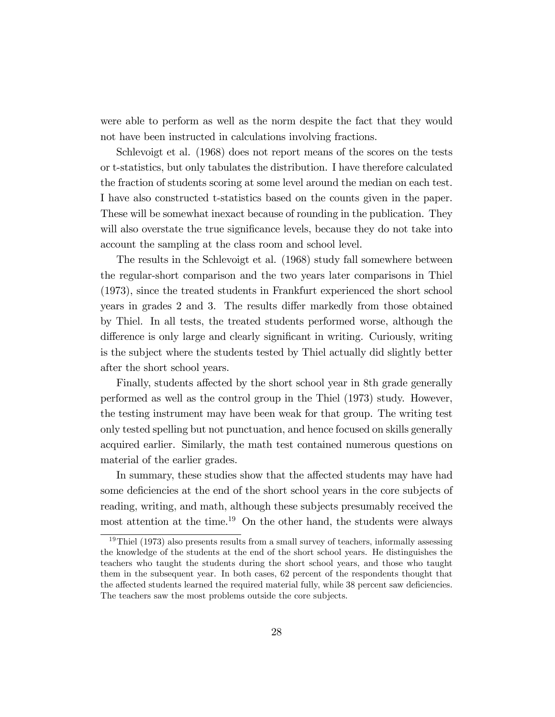were able to perform as well as the norm despite the fact that they would not have been instructed in calculations involving fractions.

Schlevoigt et al. (1968) does not report means of the scores on the tests or t-statistics, but only tabulates the distribution. I have therefore calculated the fraction of students scoring at some level around the median on each test. I have also constructed t-statistics based on the counts given in the paper. These will be somewhat inexact because of rounding in the publication. They will also overstate the true significance levels, because they do not take into account the sampling at the class room and school level.

The results in the Schlevoigt et al. (1968) study fall somewhere between the regular-short comparison and the two years later comparisons in Thiel (1973), since the treated students in Frankfurt experienced the short school years in grades 2 and 3. The results differ markedly from those obtained by Thiel. In all tests, the treated students performed worse, although the difference is only large and clearly significant in writing. Curiously, writing is the subject where the students tested by Thiel actually did slightly better after the short school years.

Finally, students affected by the short school year in 8th grade generally performed as well as the control group in the Thiel (1973) study. However, the testing instrument may have been weak for that group. The writing test only tested spelling but not punctuation, and hence focused on skills generally acquired earlier. Similarly, the math test contained numerous questions on material of the earlier grades.

In summary, these studies show that the affected students may have had some deficiencies at the end of the short school years in the core subjects of reading, writing, and math, although these subjects presumably received the most attention at the time.<sup>19</sup> On the other hand, the students were always

 $19$ Thiel (1973) also presents results from a small survey of teachers, informally assessing the knowledge of the students at the end of the short school years. He distinguishes the teachers who taught the students during the short school years, and those who taught them in the subsequent year. In both cases, 62 percent of the respondents thought that the affected students learned the required material fully, while 38 percent saw deficiencies. The teachers saw the most problems outside the core subjects.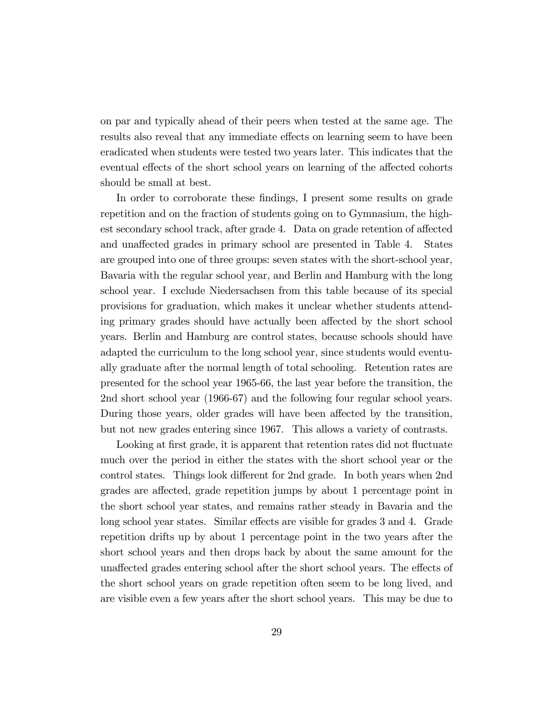on par and typically ahead of their peers when tested at the same age. The results also reveal that any immediate effects on learning seem to have been eradicated when students were tested two years later. This indicates that the eventual effects of the short school years on learning of the affected cohorts should be small at best.

In order to corroborate these findings, I present some results on grade repetition and on the fraction of students going on to Gymnasium, the highest secondary school track, after grade 4. Data on grade retention of affected and unaffected grades in primary school are presented in Table 4. States are grouped into one of three groups: seven states with the short-school year, Bavaria with the regular school year, and Berlin and Hamburg with the long school year. I exclude Niedersachsen from this table because of its special provisions for graduation, which makes it unclear whether students attending primary grades should have actually been affected by the short school years. Berlin and Hamburg are control states, because schools should have adapted the curriculum to the long school year, since students would eventually graduate after the normal length of total schooling. Retention rates are presented for the school year 1965-66, the last year before the transition, the 2nd short school year (1966-67) and the following four regular school years. During those years, older grades will have been affected by the transition, but not new grades entering since 1967. This allows a variety of contrasts.

Looking at first grade, it is apparent that retention rates did not fluctuate much over the period in either the states with the short school year or the control states. Things look different for 2nd grade. In both years when 2nd grades are affected, grade repetition jumps by about 1 percentage point in the short school year states, and remains rather steady in Bavaria and the long school year states. Similar effects are visible for grades 3 and 4. Grade repetition drifts up by about 1 percentage point in the two years after the short school years and then drops back by about the same amount for the unaffected grades entering school after the short school years. The effects of the short school years on grade repetition often seem to be long lived, and are visible even a few years after the short school years. This may be due to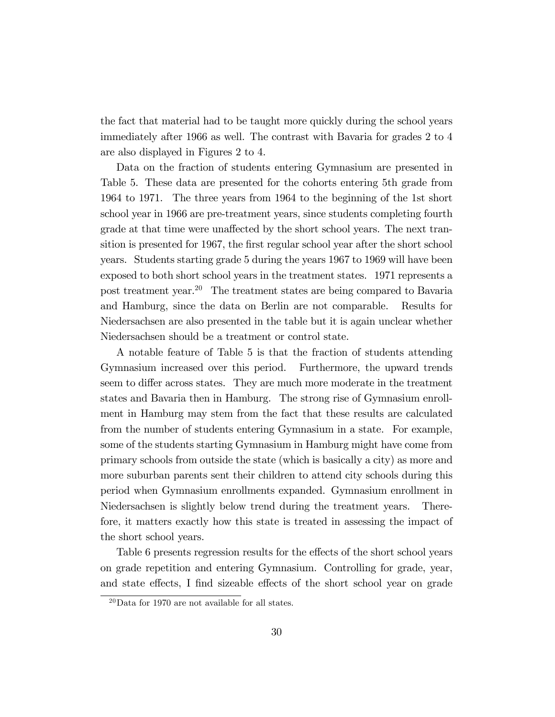the fact that material had to be taught more quickly during the school years immediately after 1966 as well. The contrast with Bavaria for grades 2 to 4 are also displayed in Figures 2 to 4.

Data on the fraction of students entering Gymnasium are presented in Table 5. These data are presented for the cohorts entering 5th grade from 1964 to 1971. The three years from 1964 to the beginning of the 1st short school year in 1966 are pre-treatment years, since students completing fourth grade at that time were unaffected by the short school years. The next transition is presented for 1967, the first regular school year after the short school years. Students starting grade 5 during the years 1967 to 1969 will have been exposed to both short school years in the treatment states. 1971 represents a post treatment year.<sup>20</sup> The treatment states are being compared to Bavaria and Hamburg, since the data on Berlin are not comparable. Results for Niedersachsen are also presented in the table but it is again unclear whether Niedersachsen should be a treatment or control state.

A notable feature of Table 5 is that the fraction of students attending Gymnasium increased over this period. Furthermore, the upward trends seem to differ across states. They are much more moderate in the treatment states and Bavaria then in Hamburg. The strong rise of Gymnasium enrollment in Hamburg may stem from the fact that these results are calculated from the number of students entering Gymnasium in a state. For example, some of the students starting Gymnasium in Hamburg might have come from primary schools from outside the state (which is basically a city) as more and more suburban parents sent their children to attend city schools during this period when Gymnasium enrollments expanded. Gymnasium enrollment in Niedersachsen is slightly below trend during the treatment years. Therefore, it matters exactly how this state is treated in assessing the impact of the short school years.

Table 6 presents regression results for the effects of the short school years on grade repetition and entering Gymnasium. Controlling for grade, year, and state effects, I find sizeable effects of the short school year on grade

 $^{20}\rm{Data}$  for 1970 are not available for all states.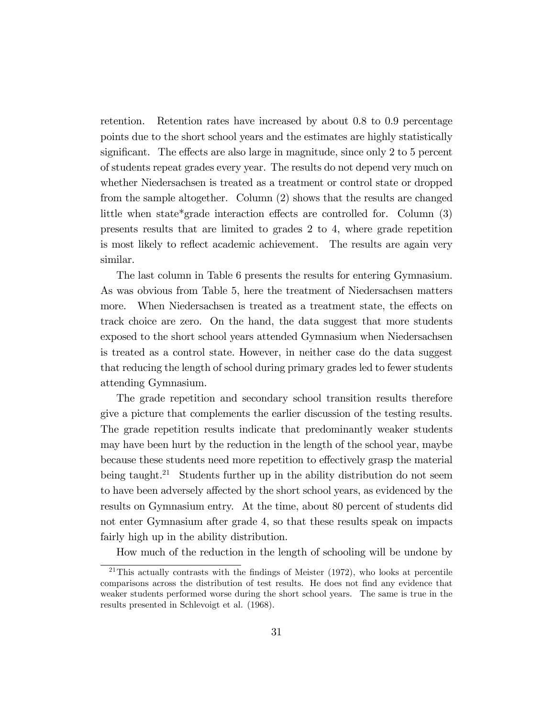retention. Retention rates have increased by about 0.8 to 0.9 percentage points due to the short school years and the estimates are highly statistically significant. The effects are also large in magnitude, since only  $2 \text{ to } 5$  percent of students repeat grades every year. The results do not depend very much on whether Niedersachsen is treated as a treatment or control state or dropped from the sample altogether. Column (2) shows that the results are changed little when state\*grade interaction effects are controlled for. Column  $(3)$ presents results that are limited to grades 2 to 4, where grade repetition is most likely to reflect academic achievement. The results are again very similar.

The last column in Table 6 presents the results for entering Gymnasium. As was obvious from Table 5, here the treatment of Niedersachsen matters more. When Niedersachsen is treated as a treatment state, the effects on track choice are zero. On the hand, the data suggest that more students exposed to the short school years attended Gymnasium when Niedersachsen is treated as a control state. However, in neither case do the data suggest that reducing the length of school during primary grades led to fewer students attending Gymnasium.

The grade repetition and secondary school transition results therefore give a picture that complements the earlier discussion of the testing results. The grade repetition results indicate that predominantly weaker students may have been hurt by the reduction in the length of the school year, maybe because these students need more repetition to effectively grasp the material being taught.<sup>21</sup> Students further up in the ability distribution do not seem to have been adversely affected by the short school years, as evidenced by the results on Gymnasium entry. At the time, about 80 percent of students did not enter Gymnasium after grade 4, so that these results speak on impacts fairly high up in the ability distribution.

How much of the reduction in the length of schooling will be undone by

 $21$ This actually contrasts with the findings of Meister (1972), who looks at percentile comparisons across the distribution of test results. He does not find any evidence that weaker students performed worse during the short school years. The same is true in the results presented in Schlevoigt et al. (1968).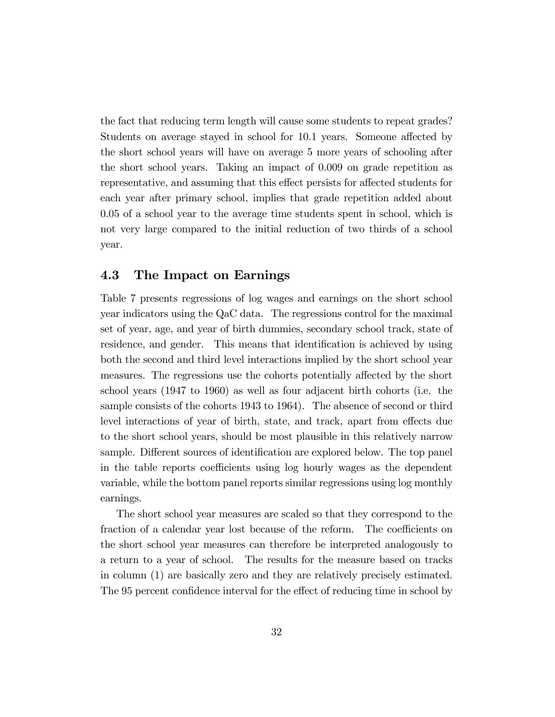the fact that reducing term length will cause some students to repeat grades? Students on average stayed in school for 10.1 years. Someone affected by the short school years will have on average 5 more years of schooling after the short school years. Taking an impact of 0.009 on grade repetition as representative, and assuming that this effect persists for affected students for each year after primary school, implies that grade repetition added about 0.05 of a school year to the average time students spent in school, which is not very large compared to the initial reduction of two thirds of a school year.

### 4.3 The Impact on Earnings

Table 7 presents regressions of log wages and earnings on the short school year indicators using the QaC data. The regressions control for the maximal set of year, age, and year of birth dummies, secondary school track, state of residence, and gender. This means that identification is achieved by using both the second and third level interactions implied by the short school year measures. The regressions use the cohorts potentially affected by the short school years (1947 to 1960) as well as four adjacent birth cohorts (i.e. the sample consists of the cohorts 1943 to 1964). The absence of second or third level interactions of year of birth, state, and track, apart from effects due to the short school years, should be most plausible in this relatively narrow sample. Different sources of identification are explored below. The top panel in the table reports coefficients using log hourly wages as the dependent variable, while the bottom panel reports similar regressions using log monthly earnings.

The short school year measures are scaled so that they correspond to the fraction of a calendar year lost because of the reform. The coefficients on the short school year measures can therefore be interpreted analogously to a return to a year of school. The results for the measure based on tracks in column (1) are basically zero and they are relatively precisely estimated. The 95 percent confidence interval for the effect of reducing time in school by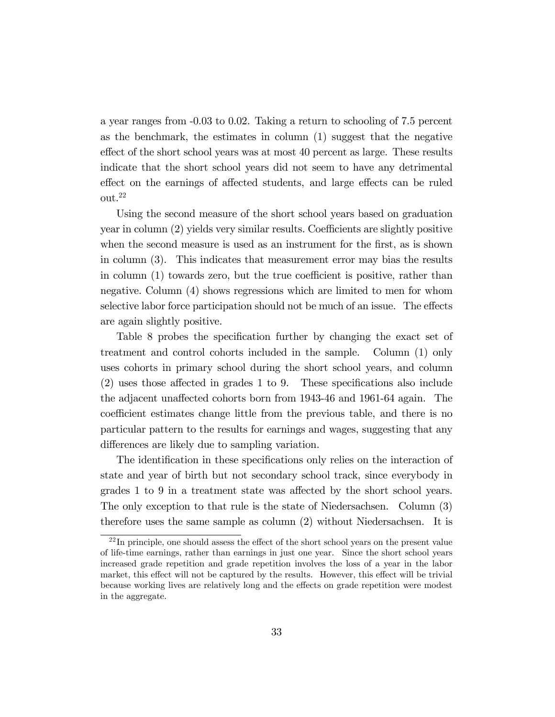a year ranges from -0.03 to 0.02. Taking a return to schooling of 7.5 percent as the benchmark, the estimates in column (1) suggest that the negative effect of the short school years was at most 40 percent as large. These results indicate that the short school years did not seem to have any detrimental effect on the earnings of affected students, and large effects can be ruled out.<sup>22</sup>

Using the second measure of the short school years based on graduation  $\gamma$ year in column  $(2)$  yields very similar results. Coefficients are slightly positive when the second measure is used as an instrument for the first, as is shown in column (3). This indicates that measurement error may bias the results in column  $(1)$  towards zero, but the true coefficient is positive, rather than negative. Column (4) shows regressions which are limited to men for whom selective labor force participation should not be much of an issue. The effects are again slightly positive.

Table 8 probes the specification further by changing the exact set of treatment and control cohorts included in the sample. Column (1) only uses cohorts in primary school during the short school years, and column  $(2)$  uses those affected in grades 1 to 9. These specifications also include the adjacent unaffected cohorts born from 1943-46 and 1961-64 again. The coefficient estimates change little from the previous table, and there is no particular pattern to the results for earnings and wages, suggesting that any differences are likely due to sampling variation.

The identification in these specifications only relies on the interaction of state and year of birth but not secondary school track, since everybody in grades 1 to 9 in a treatment state was affected by the short school years. The only exception to that rule is the state of Niedersachsen. Column (3) therefore uses the same sample as column (2) without Niedersachsen. It is

 $22$ In principle, one should assess the effect of the short school years on the present value of life-time earnings, rather than earnings in just one year. Since the short school years increased grade repetition and grade repetition involves the loss of a year in the labor market, this effect will not be captured by the results. However, this effect will be trivial because working lives are relatively long and the effects on grade repetition were modest in the aggregate.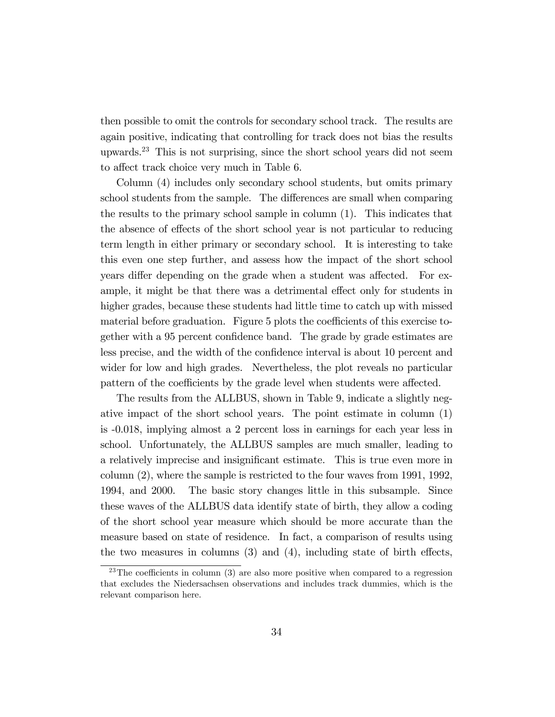then possible to omit the controls for secondary school track. The results are again positive, indicating that controlling for track does not bias the results upwards.<sup>23</sup> This is not surprising, since the short school years did not seem to affect track choice very much in Table 6.

Column (4) includes only secondary school students, but omits primary school students from the sample. The differences are small when comparing the results to the primary school sample in column (1). This indicates that the absence of effects of the short school year is not particular to reducing term length in either primary or secondary school. It is interesting to take this even one step further, and assess how the impact of the short school years differ depending on the grade when a student was affected. For example, it might be that there was a detrimental effect only for students in higher grades, because these students had little time to catch up with missed material before graduation. Figure 5 plots the coefficients of this exercise together with a 95 percent confidence band. The grade by grade estimates are less precise, and the width of the confidence interval is about 10 percent and wider for low and high grades. Nevertheless, the plot reveals no particular pattern of the coefficients by the grade level when students were affected.

The results from the ALLBUS, shown in Table 9, indicate a slightly negative impact of the short school years. The point estimate in column (1) is -0.018, implying almost a 2 percent loss in earnings for each year less in school. Unfortunately, the ALLBUS samples are much smaller, leading to a relatively imprecise and insigniÖcant estimate. This is true even more in column (2), where the sample is restricted to the four waves from 1991, 1992, 1994, and 2000. The basic story changes little in this subsample. Since these waves of the ALLBUS data identify state of birth, they allow a coding of the short school year measure which should be more accurate than the measure based on state of residence. In fact, a comparison of results using the two measures in columns  $(3)$  and  $(4)$ , including state of birth effects,

<sup>&</sup>lt;sup>23</sup>The coefficients in column (3) are also more positive when compared to a regression that excludes the Niedersachsen observations and includes track dummies, which is the relevant comparison here.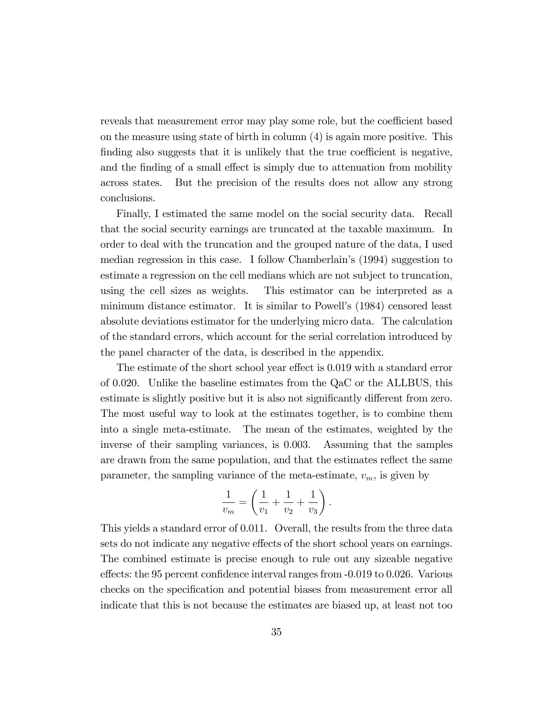reveals that measurement error may play some role, but the coefficient based on the measure using state of birth in column (4) is again more positive. This finding also suggests that it is unlikely that the true coefficient is negative, and the finding of a small effect is simply due to attenuation from mobility across states. But the precision of the results does not allow any strong conclusions.

Finally, I estimated the same model on the social security data. Recall that the social security earnings are truncated at the taxable maximum. In order to deal with the truncation and the grouped nature of the data, I used median regression in this case. I follow Chamberlain's (1994) suggestion to estimate a regression on the cell medians which are not subject to truncation, using the cell sizes as weights. This estimator can be interpreted as a minimum distance estimator. It is similar to Powell's (1984) censored least absolute deviations estimator for the underlying micro data. The calculation of the standard errors, which account for the serial correlation introduced by the panel character of the data, is described in the appendix.

The estimate of the short school year effect is 0.019 with a standard error of 0.020. Unlike the baseline estimates from the QaC or the ALLBUS, this estimate is slightly positive but it is also not significantly different from zero. The most useful way to look at the estimates together, is to combine them into a single meta-estimate. The mean of the estimates, weighted by the inverse of their sampling variances, is 0.003. Assuming that the samples are drawn from the same population, and that the estimates reflect the same parameter, the sampling variance of the meta-estimate,  $v_m$ , is given by

$$
\frac{1}{v_m} = \left(\frac{1}{v_1} + \frac{1}{v_2} + \frac{1}{v_3}\right).
$$

This yields a standard error of 0.011. Overall, the results from the three data sets do not indicate any negative effects of the short school years on earnings. The combined estimate is precise enough to rule out any sizeable negative effects: the 95 percent confidence interval ranges from  $-0.019$  to 0.026. Various checks on the speciÖcation and potential biases from measurement error all indicate that this is not because the estimates are biased up, at least not too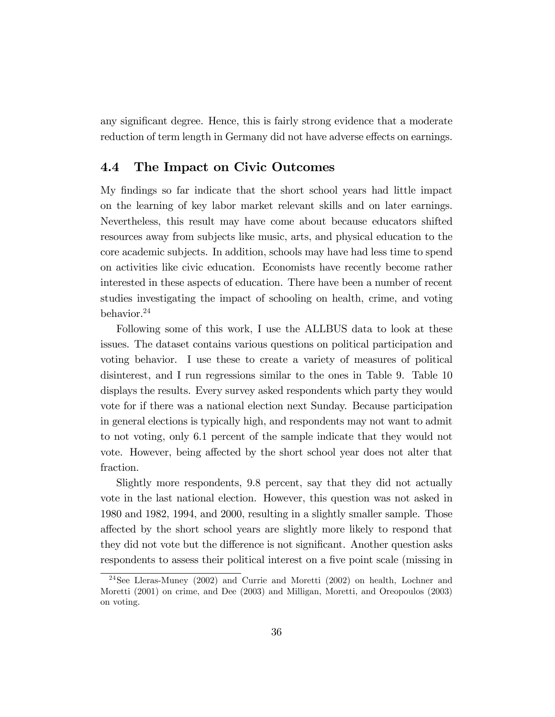any significant degree. Hence, this is fairly strong evidence that a moderate reduction of term length in Germany did not have adverse effects on earnings.

### 4.4 The Impact on Civic Outcomes

My Öndings so far indicate that the short school years had little impact on the learning of key labor market relevant skills and on later earnings. Nevertheless, this result may have come about because educators shifted resources away from subjects like music, arts, and physical education to the core academic subjects. In addition, schools may have had less time to spend on activities like civic education. Economists have recently become rather interested in these aspects of education. There have been a number of recent studies investigating the impact of schooling on health, crime, and voting behavior.<sup>24</sup>

Following some of this work, I use the ALLBUS data to look at these issues. The dataset contains various questions on political participation and voting behavior. I use these to create a variety of measures of political disinterest, and I run regressions similar to the ones in Table 9. Table 10 displays the results. Every survey asked respondents which party they would vote for if there was a national election next Sunday. Because participation in general elections is typically high, and respondents may not want to admit to not voting, only 6.1 percent of the sample indicate that they would not vote. However, being affected by the short school year does not alter that fraction.

Slightly more respondents, 9.8 percent, say that they did not actually vote in the last national election. However, this question was not asked in 1980 and 1982, 1994, and 2000, resulting in a slightly smaller sample. Those a§ected by the short school years are slightly more likely to respond that they did not vote but the difference is not significant. Another question asks respondents to assess their political interest on a five point scale (missing in

<sup>&</sup>lt;sup>24</sup>See Lleras-Muney (2002) and Currie and Moretti (2002) on health, Lochner and Moretti (2001) on crime, and Dee (2003) and Milligan, Moretti, and Oreopoulos (2003) on voting.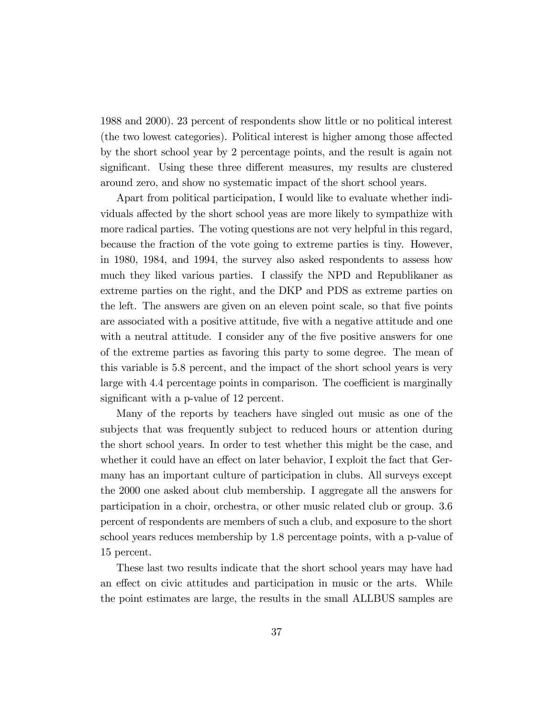1988 and 2000). 23 percent of respondents show little or no political interest (the two lowest categories). Political interest is higher among those affected by the short school year by 2 percentage points, and the result is again not significant. Using these three different measures, my results are clustered around zero, and show no systematic impact of the short school years.

Apart from political participation, I would like to evaluate whether individuals affected by the short school yeas are more likely to sympathize with more radical parties. The voting questions are not very helpful in this regard, because the fraction of the vote going to extreme parties is tiny. However, in 1980, 1984, and 1994, the survey also asked respondents to assess how much they liked various parties. I classify the NPD and Republikaner as extreme parties on the right, and the DKP and PDS as extreme parties on the left. The answers are given on an eleven point scale, so that five points are associated with a positive attitude, Öve with a negative attitude and one with a neutral attitude. I consider any of the five positive answers for one of the extreme parties as favoring this party to some degree. The mean of this variable is 5.8 percent, and the impact of the short school years is very large with 4.4 percentage points in comparison. The coefficient is marginally significant with a p-value of 12 percent.

Many of the reports by teachers have singled out music as one of the subjects that was frequently subject to reduced hours or attention during the short school years. In order to test whether this might be the case, and whether it could have an effect on later behavior, I exploit the fact that Germany has an important culture of participation in clubs. All surveys except the 2000 one asked about club membership. I aggregate all the answers for participation in a choir, orchestra, or other music related club or group. 3.6 percent of respondents are members of such a club, and exposure to the short school years reduces membership by 1.8 percentage points, with a p-value of 15 percent.

These last two results indicate that the short school years may have had an effect on civic attitudes and participation in music or the arts. While the point estimates are large, the results in the small ALLBUS samples are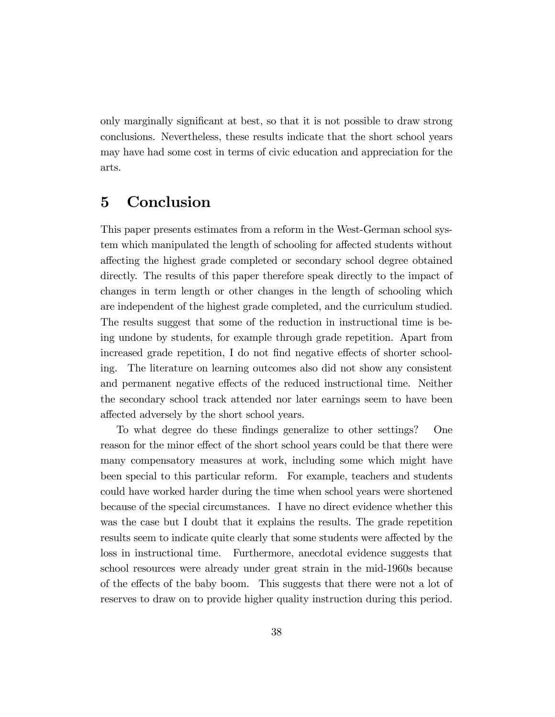only marginally significant at best, so that it is not possible to draw strong conclusions. Nevertheless, these results indicate that the short school years may have had some cost in terms of civic education and appreciation for the arts.

# 5 Conclusion

This paper presents estimates from a reform in the West-German school system which manipulated the length of schooling for affected students without a§ecting the highest grade completed or secondary school degree obtained directly. The results of this paper therefore speak directly to the impact of changes in term length or other changes in the length of schooling which are independent of the highest grade completed, and the curriculum studied. The results suggest that some of the reduction in instructional time is being undone by students, for example through grade repetition. Apart from increased grade repetition, I do not find negative effects of shorter schooling. The literature on learning outcomes also did not show any consistent and permanent negative effects of the reduced instructional time. Neither the secondary school track attended nor later earnings seem to have been affected adversely by the short school years.

To what degree do these findings generalize to other settings? One reason for the minor effect of the short school years could be that there were many compensatory measures at work, including some which might have been special to this particular reform. For example, teachers and students could have worked harder during the time when school years were shortened because of the special circumstances. I have no direct evidence whether this was the case but I doubt that it explains the results. The grade repetition results seem to indicate quite clearly that some students were affected by the loss in instructional time. Furthermore, anecdotal evidence suggests that school resources were already under great strain in the mid-1960s because of the effects of the baby boom. This suggests that there were not a lot of reserves to draw on to provide higher quality instruction during this period.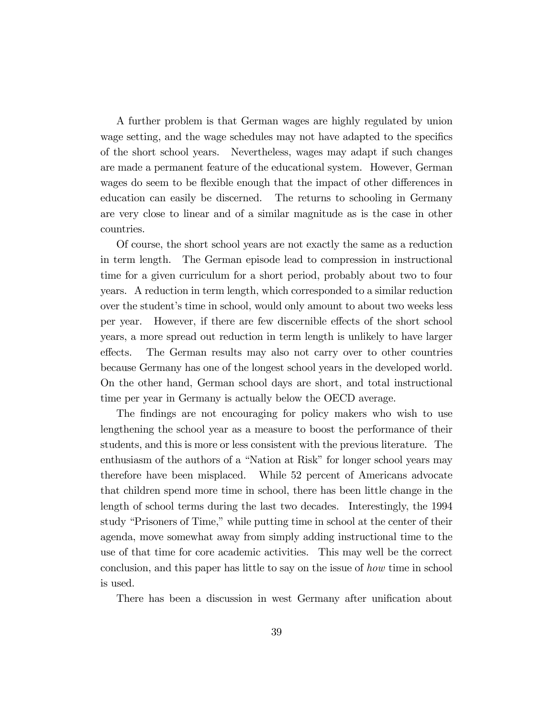A further problem is that German wages are highly regulated by union wage setting, and the wage schedules may not have adapted to the specifics of the short school years. Nevertheless, wages may adapt if such changes are made a permanent feature of the educational system. However, German wages do seem to be flexible enough that the impact of other differences in education can easily be discerned. The returns to schooling in Germany are very close to linear and of a similar magnitude as is the case in other countries.

Of course, the short school years are not exactly the same as a reduction in term length. The German episode lead to compression in instructional time for a given curriculum for a short period, probably about two to four years. A reduction in term length, which corresponded to a similar reduction over the student's time in school, would only amount to about two weeks less per year. However, if there are few discernible effects of the short school years, a more spread out reduction in term length is unlikely to have larger effects. The German results may also not carry over to other countries because Germany has one of the longest school years in the developed world. On the other hand, German school days are short, and total instructional time per year in Germany is actually below the OECD average.

The findings are not encouraging for policy makers who wish to use lengthening the school year as a measure to boost the performance of their students, and this is more or less consistent with the previous literature. The enthusiasm of the authors of a "Nation at Risk" for longer school years may therefore have been misplaced. While 52 percent of Americans advocate that children spend more time in school, there has been little change in the length of school terms during the last two decades. Interestingly, the 1994 study "Prisoners of Time," while putting time in school at the center of their agenda, move somewhat away from simply adding instructional time to the use of that time for core academic activities. This may well be the correct conclusion, and this paper has little to say on the issue of how time in school is used.

There has been a discussion in west Germany after unification about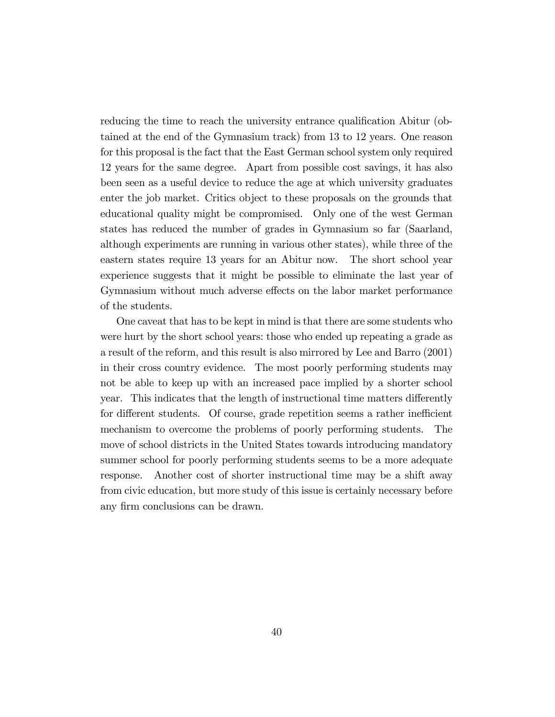reducing the time to reach the university entrance qualification Abitur (obtained at the end of the Gymnasium track) from 13 to 12 years. One reason for this proposal is the fact that the East German school system only required 12 years for the same degree. Apart from possible cost savings, it has also been seen as a useful device to reduce the age at which university graduates enter the job market. Critics object to these proposals on the grounds that educational quality might be compromised. Only one of the west German states has reduced the number of grades in Gymnasium so far (Saarland, although experiments are running in various other states), while three of the eastern states require 13 years for an Abitur now. The short school year experience suggests that it might be possible to eliminate the last year of Gymnasium without much adverse effects on the labor market performance of the students.

One caveat that has to be kept in mind is that there are some students who were hurt by the short school years: those who ended up repeating a grade as a result of the reform, and this result is also mirrored by Lee and Barro (2001) in their cross country evidence. The most poorly performing students may not be able to keep up with an increased pace implied by a shorter school year. This indicates that the length of instructional time matters differently for different students. Of course, grade repetition seems a rather inefficient mechanism to overcome the problems of poorly performing students. The move of school districts in the United States towards introducing mandatory summer school for poorly performing students seems to be a more adequate response. Another cost of shorter instructional time may be a shift away from civic education, but more study of this issue is certainly necessary before any firm conclusions can be drawn.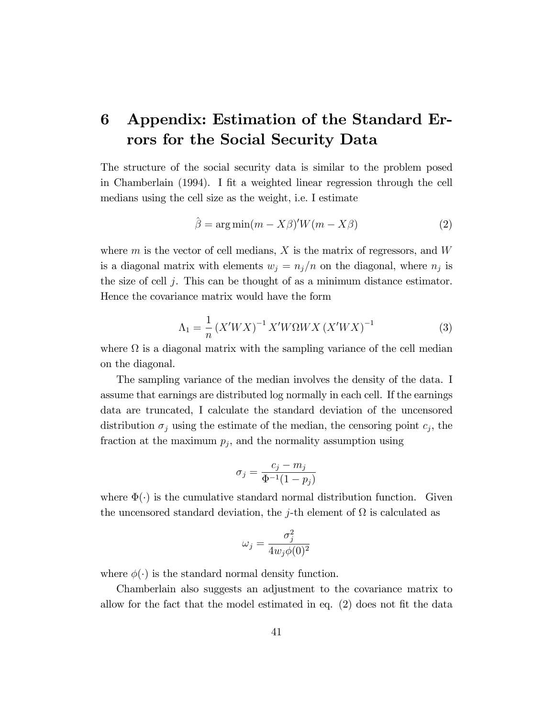# 6 Appendix: Estimation of the Standard Errors for the Social Security Data

The structure of the social security data is similar to the problem posed in Chamberlain  $(1994)$ . I fit a weighted linear regression through the cell medians using the cell size as the weight, i.e. I estimate

$$
\hat{\beta} = \arg \min(m - X\beta)'W(m - X\beta)
$$
 (2)

where  $m$  is the vector of cell medians,  $X$  is the matrix of regressors, and  $W$ is a diagonal matrix with elements  $w_j = n_j/n$  on the diagonal, where  $n_j$  is the size of cell  $j$ . This can be thought of as a minimum distance estimator. Hence the covariance matrix would have the form

$$
\Lambda_1 = \frac{1}{n} \left( X'WX \right)^{-1} X'W\Omega W X \left( X'WX \right)^{-1}
$$
 (3)

where  $\Omega$  is a diagonal matrix with the sampling variance of the cell median on the diagonal.

The sampling variance of the median involves the density of the data. I assume that earnings are distributed log normally in each cell. If the earnings data are truncated, I calculate the standard deviation of the uncensored distribution  $\sigma_j$  using the estimate of the median, the censoring point  $c_j$ , the fraction at the maximum  $p_j$ , and the normality assumption using

$$
\sigma_j = \frac{c_j - m_j}{\Phi^{-1}(1 - p_j)}
$$

where  $\Phi(\cdot)$  is the cumulative standard normal distribution function. Given the uncensored standard deviation, the *j*-th element of  $\Omega$  is calculated as

$$
\omega_j = \frac{\sigma_j^2}{4w_j\phi(0)^2}
$$

where  $\phi(\cdot)$  is the standard normal density function.

Chamberlain also suggests an adjustment to the covariance matrix to allow for the fact that the model estimated in eq.  $(2)$  does not fit the data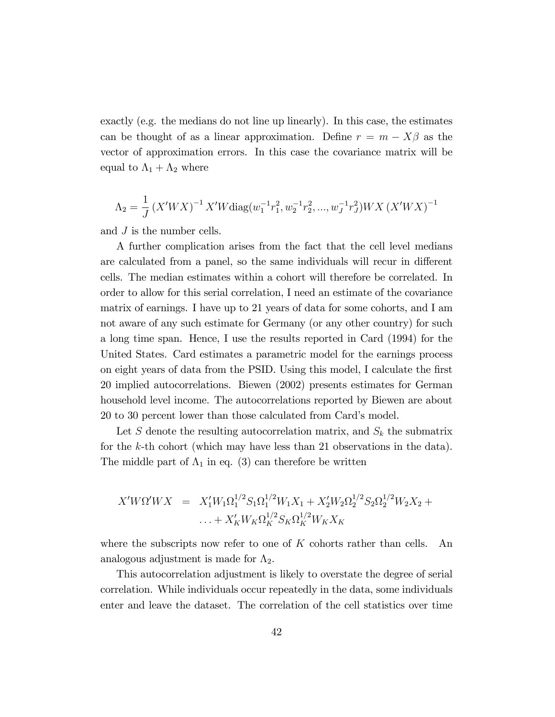exactly (e.g. the medians do not line up linearly). In this case, the estimates can be thought of as a linear approximation. Define  $r = m - X\beta$  as the vector of approximation errors. In this case the covariance matrix will be equal to  $\Lambda_1 + \Lambda_2$  where

$$
\Lambda_2 = \frac{1}{J} \left( X'WX \right)^{-1} X'W \text{diag}(w_1^{-1}r_1^2, w_2^{-1}r_2^2, ..., w_J^{-1}r_J^2)WX \left( X'WX \right)^{-1}
$$

and J is the number cells.

A further complication arises from the fact that the cell level medians are calculated from a panel, so the same individuals will recur in different cells. The median estimates within a cohort will therefore be correlated. In order to allow for this serial correlation, I need an estimate of the covariance matrix of earnings. I have up to 21 years of data for some cohorts, and I am not aware of any such estimate for Germany (or any other country) for such a long time span. Hence, I use the results reported in Card (1994) for the United States. Card estimates a parametric model for the earnings process on eight years of data from the PSID. Using this model, I calculate the Örst 20 implied autocorrelations. Biewen (2002) presents estimates for German household level income. The autocorrelations reported by Biewen are about 20 to 30 percent lower than those calculated from Card's model.

Let S denote the resulting autocorrelation matrix, and  $S_k$  the submatrix for the k-th cohort (which may have less than 21 observations in the data). The middle part of  $\Lambda_1$  in eq. (3) can therefore be written

$$
X'W\Omega'WX = X'_1W_1\Omega_1^{1/2}S_1\Omega_1^{1/2}W_1X_1 + X'_2W_2\Omega_2^{1/2}S_2\Omega_2^{1/2}W_2X_2 + \dots + X'_KW_K\Omega_K^{1/2}S_K\Omega_K^{1/2}W_KX_K
$$

where the subscripts now refer to one of  $K$  cohorts rather than cells. An analogous adjustment is made for  $\Lambda_2$ .

This autocorrelation adjustment is likely to overstate the degree of serial correlation. While individuals occur repeatedly in the data, some individuals enter and leave the dataset. The correlation of the cell statistics over time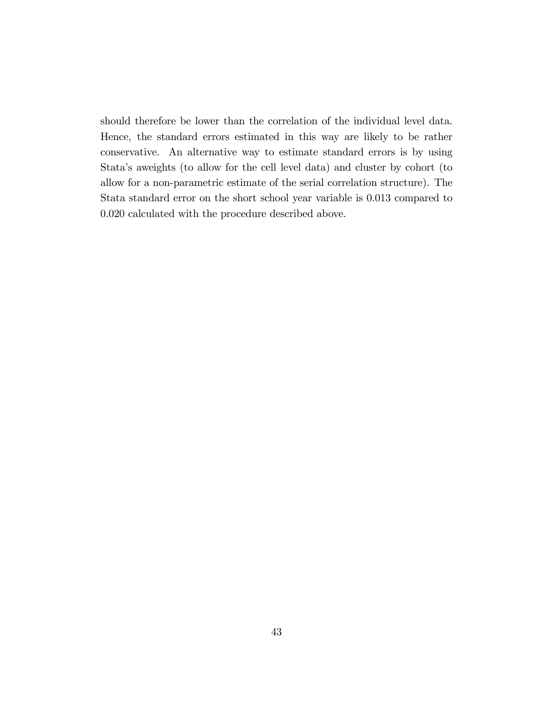should therefore be lower than the correlation of the individual level data. Hence, the standard errors estimated in this way are likely to be rather conservative. An alternative way to estimate standard errors is by using Stataís aweights (to allow for the cell level data) and cluster by cohort (to allow for a non-parametric estimate of the serial correlation structure). The Stata standard error on the short school year variable is 0.013 compared to 0.020 calculated with the procedure described above.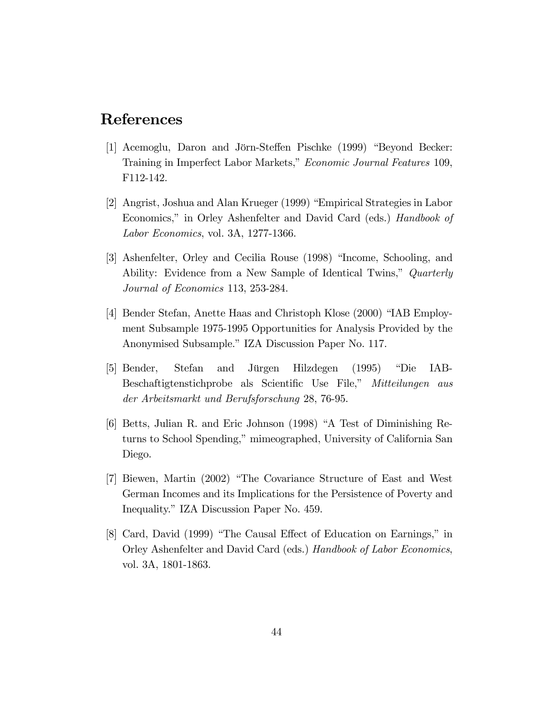# References

- $|1|$  Acemoglu, Daron and Jörn-Steffen Pischke (1999) "Beyond Becker: Training in Imperfect Labor Markets," Economic Journal Features 109, F112-142.
- [2] Angrist, Joshua and Alan Krueger (1999) "Empirical Strategies in Labor Economics," in Orley Ashenfelter and David Card (eds.) Handbook of Labor Economics, vol. 3A, 1277-1366.
- [3] Ashenfelter, Orley and Cecilia Rouse (1998) "Income, Schooling, and Ability: Evidence from a New Sample of Identical Twins," Quarterly Journal of Economics 113, 253-284.
- [4] Bender Stefan, Anette Haas and Christoph Klose (2000) "IAB Employment Subsample 1975-1995 Opportunities for Analysis Provided by the Anonymised Subsample." IZA Discussion Paper No. 117.
- [5] Bender, Stefan and Jürgen Hilzdegen (1995) "Die IAB-Beschaftigtenstichprobe als Scientific Use File," Mitteilungen aus der Arbeitsmarkt und Berufsforschung 28, 76-95.
- [6] Betts, Julian R. and Eric Johnson (1998) "A Test of Diminishing Returns to School Spending," mimeographed, University of California San Diego.
- [7] Biewen, Martin (2002) "The Covariance Structure of East and West German Incomes and its Implications for the Persistence of Poverty and Inequality." IZA Discussion Paper No. 459.
- [8] Card, David (1999) "The Causal Effect of Education on Earnings," in Orley Ashenfelter and David Card (eds.) Handbook of Labor Economics, vol. 3A, 1801-1863.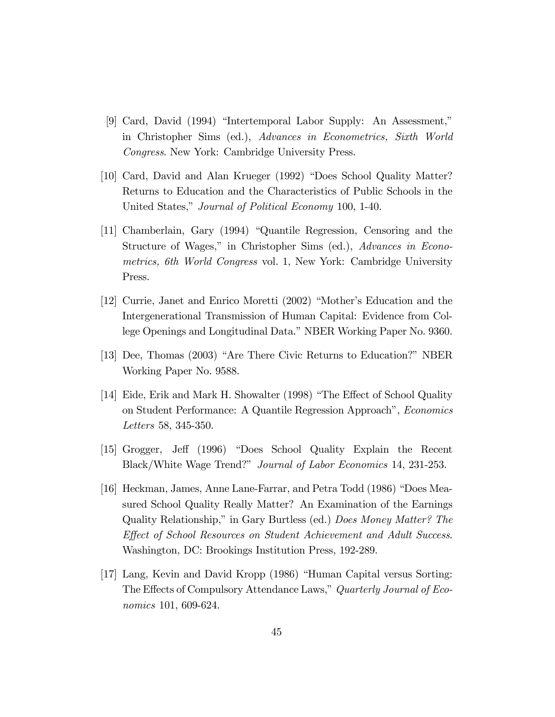- $[9]$  Card, David (1994) "Intertemporal Labor Supply: An Assessment," in Christopher Sims (ed.), Advances in Econometrics, Sixth World Congress. New York: Cambridge University Press.
- $[10]$  Card, David and Alan Krueger (1992) "Does School Quality Matter? Returns to Education and the Characteristics of Public Schools in the United States," Journal of Political Economy 100, 1-40.
- [11] Chamberlain, Gary (1994) "Quantile Regression, Censoring and the Structure of Wages," in Christopher Sims (ed.), Advances in Econometrics, 6th World Congress vol. 1, New York: Cambridge University Press.
- $|12|$  Currie, Janet and Enrico Moretti  $(2002)$  "Mother's Education and the Intergenerational Transmission of Human Capital: Evidence from College Openings and Longitudinal Data." NBER Working Paper No. 9360.
- [13] Dee, Thomas (2003) "Are There Civic Returns to Education?" NBER Working Paper No. 9588.
- [14] Eide, Erik and Mark H. Showalter (1998) "The Effect of School Quality on Student Performance: A Quantile Regression Approach", Economics Letters 58, 345-350.
- [15] Grogger, Jeff (1996) "Does School Quality Explain the Recent Black/White Wage Trend?" Journal of Labor Economics 14, 231-253.
- [16] Heckman, James, Anne Lane-Farrar, and Petra Todd (1986) "Does Measured School Quality Really Matter? An Examination of the Earnings Quality Relationship," in Gary Burtless (ed.) Does Money Matter? The Effect of School Resources on Student Achievement and Adult Success. Washington, DC: Brookings Institution Press, 192-289.
- [17] Lang, Kevin and David Kropp (1986) "Human Capital versus Sorting: The Effects of Compulsory Attendance Laws," Quarterly Journal of Economics 101, 609-624.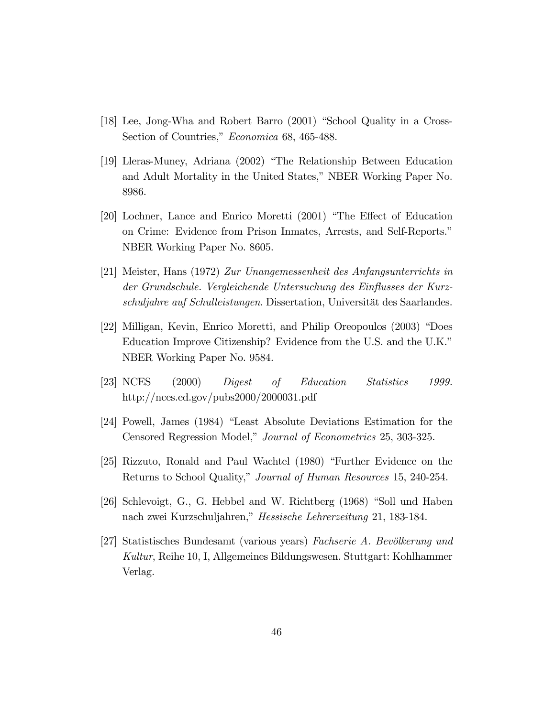- [18] Lee, Jong-Wha and Robert Barro  $(2001)$  "School Quality in a Cross-Section of Countries," Economica 68, 465-488.
- [19] Lleras-Muney, Adriana (2002) "The Relationship Between Education and Adult Mortality in the United States," NBER Working Paper No. 8986.
- $[20]$  Lochner, Lance and Enrico Moretti  $(2001)$  "The Effect of Education" on Crime: Evidence from Prison Inmates, Arrests, and Self-Reports.<sup>n</sup> NBER Working Paper No. 8605.
- [21] Meister, Hans (1972) Zur Unangemessenheit des Anfangsunterrichts in der Grundschule. Vergleichende Untersuchung des Einflusses der Kurzschuljahre auf Schulleistungen. Dissertation, Universität des Saarlandes.
- [22] Milligan, Kevin, Enrico Moretti, and Philip Oreopoulos (2003) "Does Education Improve Citizenship? Evidence from the U.S. and the U.K." NBER Working Paper No. 9584.
- [23] NCES (2000) Digest of Education Statistics 1999. http://nces.ed.gov/pubs2000/2000031.pdf
- [24] Powell, James (1984) "Least Absolute Deviations Estimation for the Censored Regression Model," Journal of Econometrics 25, 303-325.
- [25] Rizzuto, Ronald and Paul Wachtel (1980) "Further Evidence on the Returns to School Quality," Journal of Human Resources 15, 240-254.
- [26] Schlevoigt, G., G. Hebbel and W. Richtberg  $(1968)$  "Soll und Haben nach zwei Kurzschuljahren," Hessische Lehrerzeitung 21, 183-184.
- [27] Statistisches Bundesamt (various years) Fachserie A. Bevölkerung und Kultur, Reihe 10, I, Allgemeines Bildungswesen. Stuttgart: Kohlhammer Verlag.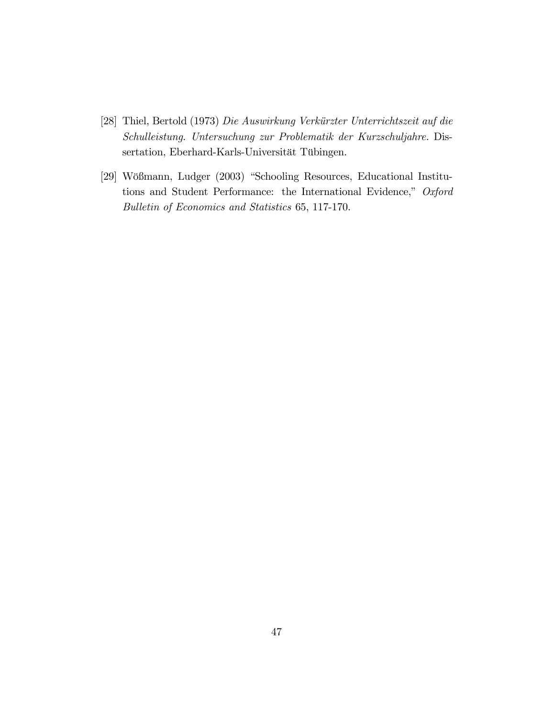- [28] Thiel, Bertold (1973) Die Auswirkung Verkürzter Unterrichtszeit auf die Schulleistung. Untersuchung zur Problematik der Kurzschuljahre. Dissertation, Eberhard-Karls-Universität Tübingen.
- [29] Wößmann, Ludger (2003) "Schooling Resources, Educational Institutions and Student Performance: the International Evidence," Oxford Bulletin of Economics and Statistics 65, 117-170.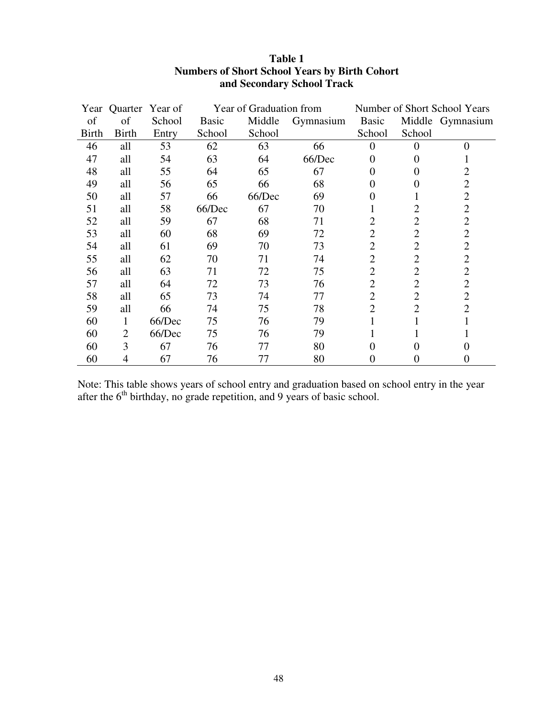|              | Year Quarter Year of |        |              | Year of Graduation from |           |                |                | Number of Short School Years |
|--------------|----------------------|--------|--------------|-------------------------|-----------|----------------|----------------|------------------------------|
| of           | of                   | School | <b>Basic</b> | Middle                  | Gymnasium | Basic          |                | Middle Gymnasium             |
| <b>Birth</b> | <b>Birth</b>         | Entry  | School       | School                  |           | School         | School         |                              |
| 46           | all                  | 53     | 62           | 63                      | 66        | $\theta$       | $\theta$       | $\theta$                     |
| 47           | all                  | 54     | 63           | 64                      | 66/Dec    | 0              |                |                              |
| 48           | all                  | 55     | 64           | 65                      | 67        | $\Omega$       | 0              | 2                            |
| 49           | all                  | 56     | 65           | 66                      | 68        | $\Omega$       | 0              | 2                            |
| 50           | all                  | 57     | 66           | 66/Dec                  | 69        | $\Omega$       |                | $\overline{2}$               |
| 51           | all                  | 58     | 66/Dec       | 67                      | 70        |                | 2              | $\overline{2}$               |
| 52           | all                  | 59     | 67           | 68                      | 71        | 2              | 2              | $\overline{2}$               |
| 53           | all                  | 60     | 68           | 69                      | 72        | $\overline{2}$ | $\overline{2}$ | $\overline{2}$               |
| 54           | all                  | 61     | 69           | 70                      | 73        | $\overline{2}$ | $\overline{2}$ | $\overline{2}$               |
| 55           | all                  | 62     | 70           | 71                      | 74        | $\overline{2}$ | $\overline{2}$ | $\overline{2}$               |
| 56           | all                  | 63     | 71           | 72                      | 75        | $\overline{2}$ | $\overline{2}$ | $\overline{2}$               |
| 57           | all                  | 64     | 72           | 73                      | 76        | $\overline{2}$ | $\overline{2}$ | $\overline{2}$               |
| 58           | all                  | 65     | 73           | 74                      | 77        | $\overline{2}$ | $\overline{2}$ | $\overline{2}$               |
| 59           | all                  | 66     | 74           | 75                      | 78        | $\overline{2}$ | $\overline{2}$ | 2                            |
| 60           | 1                    | 66/Dec | 75           | 76                      | 79        |                |                |                              |
| 60           | $\overline{2}$       | 66/Dec | 75           | 76                      | 79        |                |                |                              |
| 60           | 3                    | 67     | 76           | 77                      | 80        | $\Omega$       | 0              |                              |
| 60           | 4                    | 67     | 76           | 77                      | 80        | $\overline{0}$ | 0              | $\theta$                     |

### **Table 1 Numbers of Short School Years by Birth Cohort and Secondary School Track**

Note: This table shows years of school entry and graduation based on school entry in the year after the  $6<sup>th</sup>$  birthday, no grade repetition, and 9 years of basic school.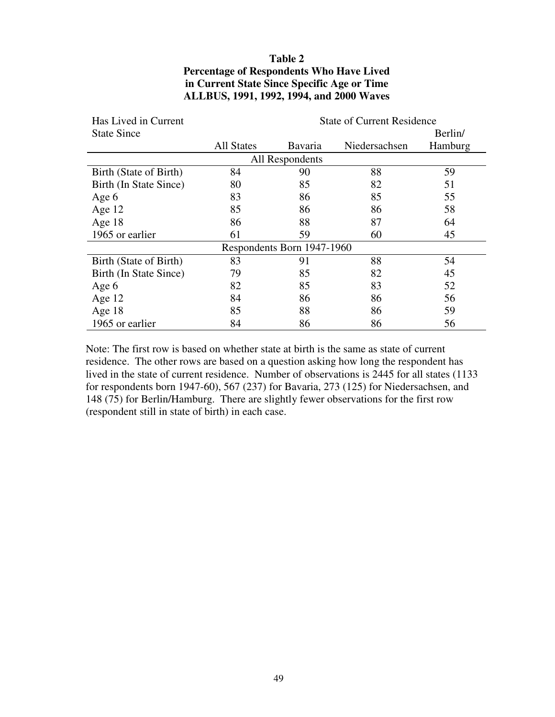### **Table 2 Percentage of Respondents Who Have Lived in Current State Since Specific Age or Time ALLBUS, 1991, 1992, 1994, and 2000 Waves**

| Has Lived in Current   |                   |                            | <b>State of Current Residence</b> |         |
|------------------------|-------------------|----------------------------|-----------------------------------|---------|
| <b>State Since</b>     |                   |                            |                                   | Berlin/ |
|                        | <b>All States</b> | <b>Bavaria</b>             | Niedersachsen                     | Hamburg |
|                        |                   | All Respondents            |                                   |         |
| Birth (State of Birth) | 84                | 90                         | 88                                | 59      |
| Birth (In State Since) | 80                | 85                         | 82                                | 51      |
| Age 6                  | 83                | 86                         | 85                                | 55      |
| Age $12$               | 85                | 86                         | 86                                | 58      |
| Age $18$               | 86                | 88                         | 87                                | 64      |
| 1965 or earlier        | 61                | 59                         | 60                                | 45      |
|                        |                   | Respondents Born 1947-1960 |                                   |         |
| Birth (State of Birth) | 83                | 91                         | 88                                | 54      |
| Birth (In State Since) | 79                | 85                         | 82                                | 45      |
| Age 6                  | 82                | 85                         | 83                                | 52      |
| Age $12$               | 84                | 86                         | 86                                | 56      |
| Age $18$               | 85                | 88                         | 86                                | 59      |
| 1965 or earlier        | 84                | 86                         | 86                                | 56      |

Note: The first row is based on whether state at birth is the same as state of current residence. The other rows are based on a question asking how long the respondent has lived in the state of current residence. Number of observations is 2445 for all states (1133 for respondents born 1947-60), 567 (237) for Bavaria, 273 (125) for Niedersachsen, and 148 (75) for Berlin/Hamburg. There are slightly fewer observations for the first row (respondent still in state of birth) in each case.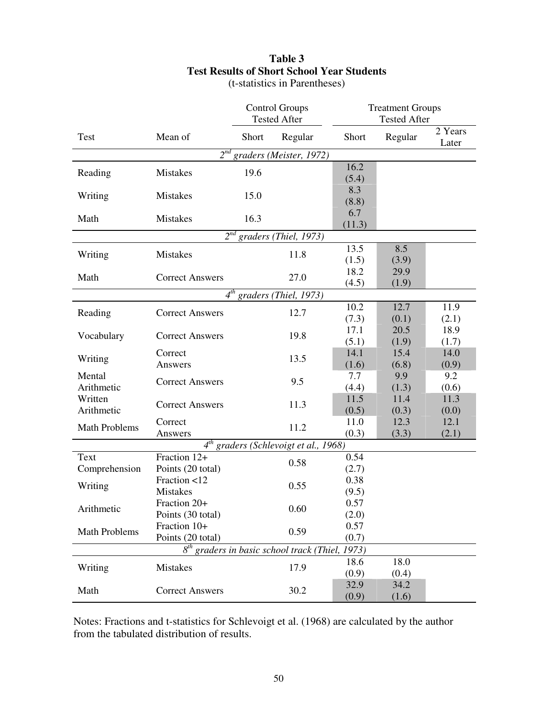# **Table 3 Test Results of Short School Year Students**

|                      |                        | <b>Control Groups</b><br><b>Tested After</b> |                                                             | <b>Treatment Groups</b><br><b>Tested After</b> |               |                  |
|----------------------|------------------------|----------------------------------------------|-------------------------------------------------------------|------------------------------------------------|---------------|------------------|
|                      |                        |                                              |                                                             |                                                |               |                  |
| Test                 | Mean of                | Short                                        | Regular                                                     | Short                                          | Regular       | 2 Years<br>Later |
|                      |                        |                                              | $2^{nd}$ graders (Meister, 1972)                            |                                                |               |                  |
| Reading              | <b>Mistakes</b>        | 19.6                                         |                                                             | 16.2                                           |               |                  |
|                      |                        |                                              |                                                             | (5.4)                                          |               |                  |
| Writing              | <b>Mistakes</b>        | 15.0                                         |                                                             | 8.3                                            |               |                  |
|                      |                        |                                              |                                                             | (8.8)                                          |               |                  |
| Math                 | <b>Mistakes</b>        | 16.3                                         |                                                             | 6.7                                            |               |                  |
|                      |                        |                                              | $2^{nd}$ graders (Thiel, 1973)                              | (11.3)                                         |               |                  |
|                      |                        |                                              |                                                             | 13.5                                           | 8.5           |                  |
| Writing              | Mistakes               |                                              | 11.8                                                        |                                                |               |                  |
|                      |                        |                                              |                                                             | (1.5)<br>18.2                                  | (3.9)<br>29.9 |                  |
| Math                 | <b>Correct Answers</b> |                                              | 27.0                                                        | (4.5)                                          | (1.9)         |                  |
|                      |                        |                                              | $4^{th}$ graders (Thiel, 1973)                              |                                                |               |                  |
|                      |                        |                                              |                                                             | 10.2                                           | 12.7          | 11.9             |
| Reading              | <b>Correct Answers</b> |                                              | 12.7                                                        | (7.3)                                          | (0.1)         | (2.1)            |
|                      |                        |                                              |                                                             | 17.1                                           | 20.5          | 18.9             |
| Vocabulary           | <b>Correct Answers</b> |                                              | 19.8                                                        | (5.1)                                          | (1.9)         | (1.7)            |
|                      | Correct                |                                              |                                                             | 14.1                                           | 15.4          | 14.0             |
| Writing              | Answers                |                                              | 13.5                                                        | (1.6)                                          | (6.8)         | (0.9)            |
| Mental               |                        |                                              |                                                             | 7.7                                            | 9.9           | 9.2              |
| Arithmetic           | <b>Correct Answers</b> |                                              | 9.5                                                         | (4.4)                                          | (1.3)         | (0.6)            |
| Written              |                        |                                              |                                                             | 11.5                                           | 11.4          | 11.3             |
| Arithmetic           | <b>Correct Answers</b> |                                              | 11.3                                                        | (0.5)                                          | (0.3)         | (0.0)            |
| <b>Math Problems</b> | Correct                |                                              | 11.2                                                        | 11.0                                           | 12.3          | 12.1             |
|                      | Answers                |                                              |                                                             | (0.3)                                          | (3.3)         | (2.1)            |
|                      |                        |                                              | $4^{th}$ graders (Schlevoigt et al., 1968)                  |                                                |               |                  |
| Text                 | Fraction 12+           |                                              | 0.58                                                        | 0.54                                           |               |                  |
| Comprehension        | Points (20 total)      |                                              |                                                             | (2.7)                                          |               |                  |
| Writing              | Fraction <12           |                                              | 0.55                                                        | 0.38                                           |               |                  |
|                      | <b>Mistakes</b>        |                                              |                                                             | (9.5)                                          |               |                  |
| Arithmetic           | Fraction 20+           |                                              | 0.60                                                        | 0.57                                           |               |                  |
|                      | Points (30 total)      |                                              |                                                             | (2.0)                                          |               |                  |
| <b>Math Problems</b> | Fraction 10+           |                                              | 0.59                                                        | 0.57                                           |               |                  |
|                      | Points (20 total)      |                                              |                                                             | (0.7)                                          |               |                  |
|                      |                        |                                              | 8 <sup>th</sup> graders in basic school track (Thiel, 1973) |                                                |               |                  |
| Writing              | Mistakes               |                                              | 17.9                                                        | 18.6                                           | 18.0          |                  |
|                      |                        |                                              |                                                             | (0.9)                                          | (0.4)         |                  |
| Math                 | <b>Correct Answers</b> |                                              | 30.2                                                        | 32.9                                           | 34.2          |                  |
|                      |                        |                                              |                                                             | (0.9)                                          | (1.6)         |                  |

(t-statistics in Parentheses)

Notes: Fractions and t-statistics for Schlevoigt et al. (1968) are calculated by the author from the tabulated distribution of results.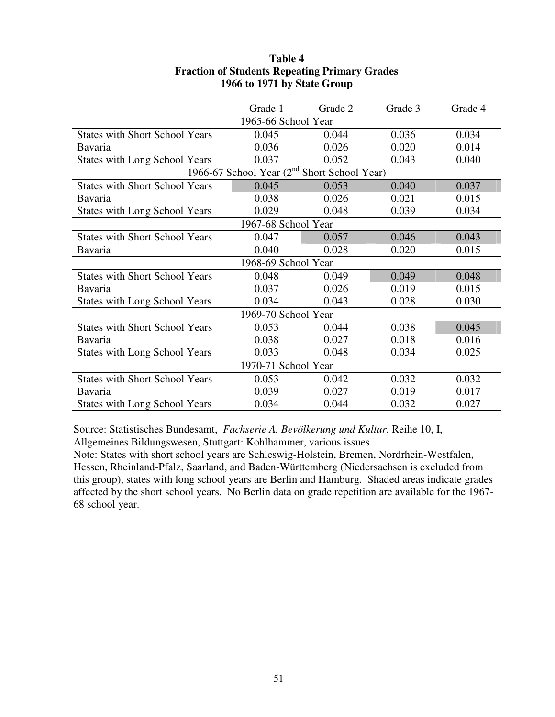|                                       | Grade 1             | Grade 2                                                 | Grade 3 | Grade 4 |  |  |
|---------------------------------------|---------------------|---------------------------------------------------------|---------|---------|--|--|
|                                       | 1965-66 School Year |                                                         |         |         |  |  |
| <b>States with Short School Years</b> | 0.045               | 0.044                                                   | 0.036   | 0.034   |  |  |
| <b>Bavaria</b>                        | 0.036               | 0.026                                                   | 0.020   | 0.014   |  |  |
| States with Long School Years         | 0.037               | 0.052                                                   | 0.043   | 0.040   |  |  |
|                                       |                     | 1966-67 School Year (2 <sup>nd</sup> Short School Year) |         |         |  |  |
| <b>States with Short School Years</b> | 0.045               | 0.053                                                   | 0.040   | 0.037   |  |  |
| Bavaria                               | 0.038               | 0.026                                                   | 0.021   | 0.015   |  |  |
| <b>States with Long School Years</b>  | 0.029               | 0.048                                                   | 0.039   | 0.034   |  |  |
| 1967-68 School Year                   |                     |                                                         |         |         |  |  |
| <b>States with Short School Years</b> | 0.047               | 0.057                                                   | 0.046   | 0.043   |  |  |
| Bavaria                               | 0.040               | 0.028                                                   | 0.020   | 0.015   |  |  |
|                                       | 1968-69 School Year |                                                         |         |         |  |  |
| <b>States with Short School Years</b> | 0.048               | 0.049                                                   | 0.049   | 0.048   |  |  |
| <b>Bavaria</b>                        | 0.037               | 0.026                                                   | 0.019   | 0.015   |  |  |
| <b>States with Long School Years</b>  | 0.034               | 0.043                                                   | 0.028   | 0.030   |  |  |
|                                       | 1969-70 School Year |                                                         |         |         |  |  |
| <b>States with Short School Years</b> | 0.053               | 0.044                                                   | 0.038   | 0.045   |  |  |
| Bavaria                               | 0.038               | 0.027                                                   | 0.018   | 0.016   |  |  |
| <b>States with Long School Years</b>  | 0.033               | 0.048                                                   | 0.034   | 0.025   |  |  |
| 1970-71 School Year                   |                     |                                                         |         |         |  |  |
| <b>States with Short School Years</b> | 0.053               | 0.042                                                   | 0.032   | 0.032   |  |  |
| <b>Bavaria</b>                        | 0.039               | 0.027                                                   | 0.019   | 0.017   |  |  |
| <b>States with Long School Years</b>  | 0.034               | 0.044                                                   | 0.032   | 0.027   |  |  |

### **Table 4 Fraction of Students Repeating Primary Grades 1966 to 1971 by State Group**

Source: Statistisches Bundesamt, *Fachserie A. Bevölkerung und Kultur*, Reihe 10, I,

Allgemeines Bildungswesen, Stuttgart: Kohlhammer, various issues.

Note: States with short school years are Schleswig-Holstein, Bremen, Nordrhein-Westfalen, Hessen, Rheinland-Pfalz, Saarland, and Baden-Württemberg (Niedersachsen is excluded from this group), states with long school years are Berlin and Hamburg. Shaded areas indicate grades affected by the short school years. No Berlin data on grade repetition are available for the 1967- 68 school year.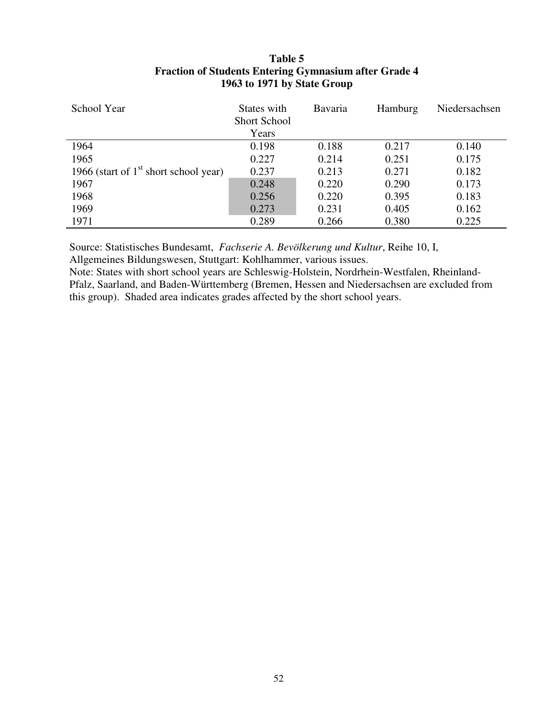| School Year                             | States with<br><b>Short School</b> | <b>Bavaria</b> | Hamburg | Niedersachsen |
|-----------------------------------------|------------------------------------|----------------|---------|---------------|
|                                         | Years                              |                |         |               |
| 1964                                    | 0.198                              | 0.188          | 0.217   | 0.140         |
| 1965                                    | 0.227                              | 0.214          | 0.251   | 0.175         |
| 1966 (start of $1st$ short school year) | 0.237                              | 0.213          | 0.271   | 0.182         |
| 1967                                    | 0.248                              | 0.220          | 0.290   | 0.173         |
| 1968                                    | 0.256                              | 0.220          | 0.395   | 0.183         |
| 1969                                    | 0.273                              | 0.231          | 0.405   | 0.162         |
| 1971                                    | 0.289                              | 0.266          | 0.380   | 0.225         |

### **Table 5 Fraction of Students Entering Gymnasium after Grade 4 1963 to 1971 by State Group**

Source: Statistisches Bundesamt, *Fachserie A. Bevölkerung und Kultur*, Reihe 10, I, Allgemeines Bildungswesen, Stuttgart: Kohlhammer, various issues.

Note: States with short school years are Schleswig-Holstein, Nordrhein-Westfalen, Rheinland-Pfalz, Saarland, and Baden-Württemberg (Bremen, Hessen and Niedersachsen are excluded from this group). Shaded area indicates grades affected by the short school years.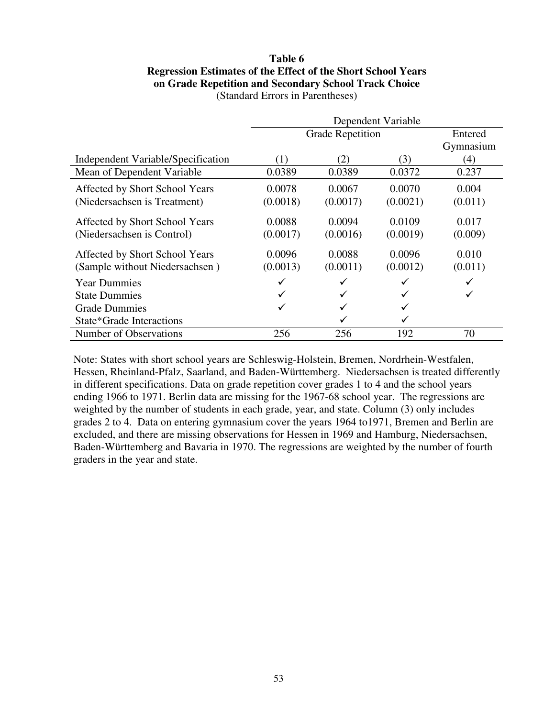#### **Table 6 Regression Estimates of the Effect of the Short School Years on Grade Repetition and Secondary School Track Choice** (Standard Errors in Parentheses)

|                                    | Dependent Variable |                         |          |           |  |  |  |
|------------------------------------|--------------------|-------------------------|----------|-----------|--|--|--|
|                                    |                    | <b>Grade Repetition</b> |          | Entered   |  |  |  |
|                                    |                    |                         |          | Gymnasium |  |  |  |
| Independent Variable/Specification | $\left(1\right)$   | (2)                     | (3)      | (4)       |  |  |  |
| Mean of Dependent Variable         | 0.0389             | 0.0389                  | 0.0372   | 0.237     |  |  |  |
| Affected by Short School Years     | 0.0078             | 0.0067                  | 0.0070   | 0.004     |  |  |  |
| (Niedersachsen is Treatment)       | (0.0018)           | (0.0017)                | (0.0021) | (0.011)   |  |  |  |
| Affected by Short School Years     | 0.0088             | 0.0094                  | 0.0109   | 0.017     |  |  |  |
| (Niedersachsen is Control)         | (0.0017)           | (0.0016)                | (0.0019) | (0.009)   |  |  |  |
| Affected by Short School Years     | 0.0096             | 0.0088                  | 0.0096   | 0.010     |  |  |  |
| (Sample without Niedersachsen)     | (0.0013)           | (0.0011)                | (0.0012) | (0.011)   |  |  |  |
| <b>Year Dummies</b>                |                    |                         |          |           |  |  |  |
| <b>State Dummies</b>               |                    |                         |          |           |  |  |  |
| <b>Grade Dummies</b>               | ✓                  | $\checkmark$            |          |           |  |  |  |
| State*Grade Interactions           |                    |                         |          |           |  |  |  |
| Number of Observations             | 256                | 256                     | 192      | 70        |  |  |  |

Note: States with short school years are Schleswig-Holstein, Bremen, Nordrhein-Westfalen, Hessen, Rheinland-Pfalz, Saarland, and Baden-Württemberg. Niedersachsen is treated differently in different specifications. Data on grade repetition cover grades 1 to 4 and the school years ending 1966 to 1971. Berlin data are missing for the 1967-68 school year. The regressions are weighted by the number of students in each grade, year, and state. Column (3) only includes grades 2 to 4. Data on entering gymnasium cover the years 1964 to1971, Bremen and Berlin are excluded, and there are missing observations for Hessen in 1969 and Hamburg, Niedersachsen, Baden-Württemberg and Bavaria in 1970. The regressions are weighted by the number of fourth graders in the year and state.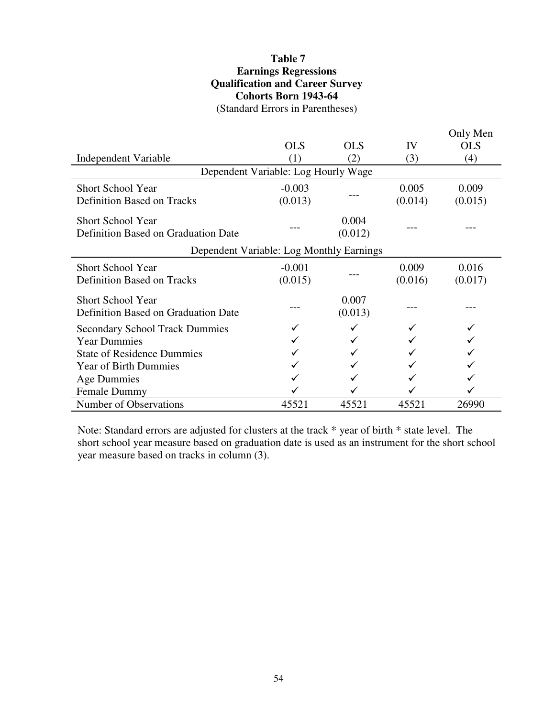### **Table 7 Earnings Regressions Qualification and Career Survey Cohorts Born 1943-64** (Standard Errors in Parentheses)

|                                                                 |                                          |                  |         | Only Men   |  |  |  |
|-----------------------------------------------------------------|------------------------------------------|------------------|---------|------------|--|--|--|
|                                                                 | <b>OLS</b>                               | <b>OLS</b>       | IV      | <b>OLS</b> |  |  |  |
| Independent Variable                                            | (1)                                      | (2)              | (3)     | (4)        |  |  |  |
|                                                                 | Dependent Variable: Log Hourly Wage      |                  |         |            |  |  |  |
| <b>Short School Year</b>                                        | $-0.003$                                 |                  | 0.005   | 0.009      |  |  |  |
| <b>Definition Based on Tracks</b>                               | (0.013)                                  |                  | (0.014) | (0.015)    |  |  |  |
| <b>Short School Year</b>                                        |                                          | 0.004            |         |            |  |  |  |
| Definition Based on Graduation Date                             |                                          | (0.012)          |         |            |  |  |  |
|                                                                 | Dependent Variable: Log Monthly Earnings |                  |         |            |  |  |  |
| <b>Short School Year</b>                                        | $-0.001$                                 |                  | 0.009   | 0.016      |  |  |  |
| <b>Definition Based on Tracks</b>                               | (0.015)                                  |                  | (0.016) | (0.017)    |  |  |  |
| <b>Short School Year</b><br>Definition Based on Graduation Date |                                          | 0.007<br>(0.013) |         |            |  |  |  |
| <b>Secondary School Track Dummies</b>                           |                                          |                  |         |            |  |  |  |
| <b>Year Dummies</b>                                             |                                          |                  |         |            |  |  |  |
| <b>State of Residence Dummies</b>                               |                                          |                  |         |            |  |  |  |
| <b>Year of Birth Dummies</b>                                    |                                          |                  |         |            |  |  |  |
| Age Dummies                                                     |                                          |                  |         |            |  |  |  |
| <b>Female Dummy</b>                                             |                                          |                  |         |            |  |  |  |
| Number of Observations                                          | 45521                                    | 45521            | 45521   | 26990      |  |  |  |

Note: Standard errors are adjusted for clusters at the track \* year of birth \* state level. The short school year measure based on graduation date is used as an instrument for the short school year measure based on tracks in column (3).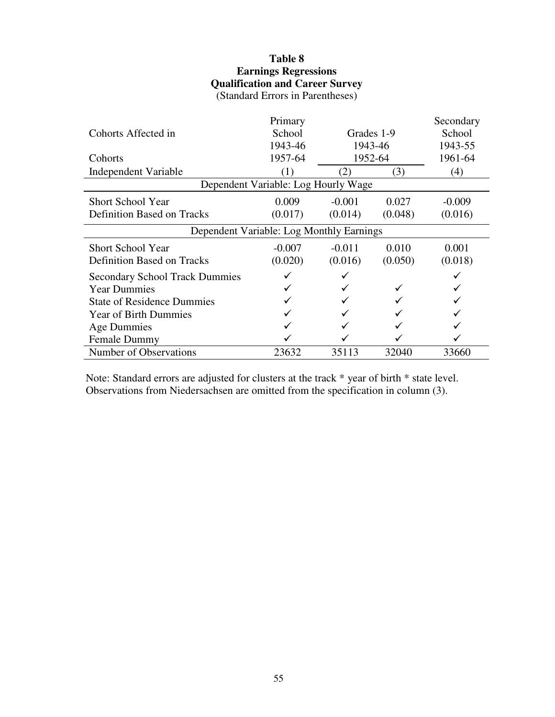### **Table 8 Earnings Regressions Qualification and Career Survey** (Standard Errors in Parentheses)

|                                          | Primary                             |                         |            | Secondary |  |  |  |  |
|------------------------------------------|-------------------------------------|-------------------------|------------|-----------|--|--|--|--|
| Cohorts Affected in                      | School                              |                         | Grades 1-9 | School    |  |  |  |  |
|                                          | 1943-46                             |                         | 1943-46    | 1943-55   |  |  |  |  |
| Cohorts                                  | 1957-64                             |                         | 1952-64    | 1961-64   |  |  |  |  |
| Independent Variable                     | (1)                                 | $\mathbf{2} \mathbf{ }$ | (3)        | (4)       |  |  |  |  |
|                                          | Dependent Variable: Log Hourly Wage |                         |            |           |  |  |  |  |
| <b>Short School Year</b>                 | 0.009                               | $-0.001$                | 0.027      | $-0.009$  |  |  |  |  |
| <b>Definition Based on Tracks</b>        | (0.017)                             | (0.014)                 | (0.048)    | (0.016)   |  |  |  |  |
| Dependent Variable: Log Monthly Earnings |                                     |                         |            |           |  |  |  |  |
| <b>Short School Year</b>                 | $-0.007$                            | $-0.011$                | 0.010      | 0.001     |  |  |  |  |
| <b>Definition Based on Tracks</b>        | (0.020)                             | (0.016)                 | (0.050)    | (0.018)   |  |  |  |  |
| <b>Secondary School Track Dummies</b>    |                                     |                         |            |           |  |  |  |  |
| <b>Year Dummies</b>                      |                                     |                         |            |           |  |  |  |  |
| <b>State of Residence Dummies</b>        |                                     |                         |            |           |  |  |  |  |
| <b>Year of Birth Dummies</b>             |                                     |                         |            |           |  |  |  |  |
| Age Dummies                              |                                     |                         |            |           |  |  |  |  |
| <b>Female Dummy</b>                      |                                     |                         |            |           |  |  |  |  |
| Number of Observations                   | 23632                               | 35113                   | 32040      | 33660     |  |  |  |  |

Note: Standard errors are adjusted for clusters at the track \* year of birth \* state level. Observations from Niedersachsen are omitted from the specification in column (3).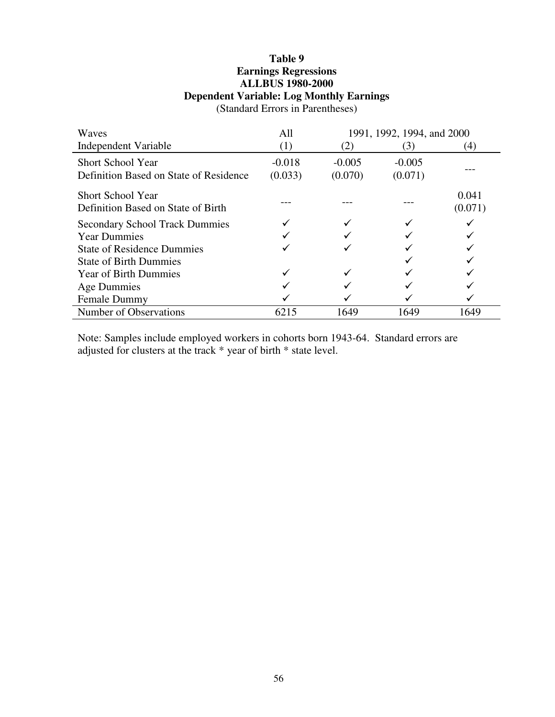### **Table 9 Earnings Regressions ALLBUS 1980-2000 Dependent Variable: Log Monthly Earnings**

Waves All 1991, 1992, 1994, and 2000 Independent Variable  $(1)$   $(2)$   $(3)$   $(4)$ Short School Year Definition Based on State of Residence -0.018  $(0.033)$ -0.005 (0.070) -0.005 (0.071) --- Short School Year Definition Based on State of Birth --- --- --- 0.041 (0.071) Secondary School Track Dummies<br>
Year Dummies<br>
Verwerkende verwende verwerkende verwende verwende verwende verwende verwende verwende verwende verwende verwende verwende verwende verwende verwende verwende verwende verwende Year Dummies  $\checkmark$   $\checkmark$ State of Residence Dummies  $\checkmark$   $\checkmark$ State of Birth Dummies  $\checkmark$ Year of Birth Dummies  $\begin{array}{ccc}\n\checkmark & \checkmark & \checkmark \\
\downarrow & \checkmark & \checkmark\n\end{array}$ Age Dummies Female Dummy  $\checkmark$   $\checkmark$   $\checkmark$ Number of Observations 6215 1649 1649 1649

(Standard Errors in Parentheses)

Note: Samples include employed workers in cohorts born 1943-64. Standard errors are adjusted for clusters at the track \* year of birth \* state level.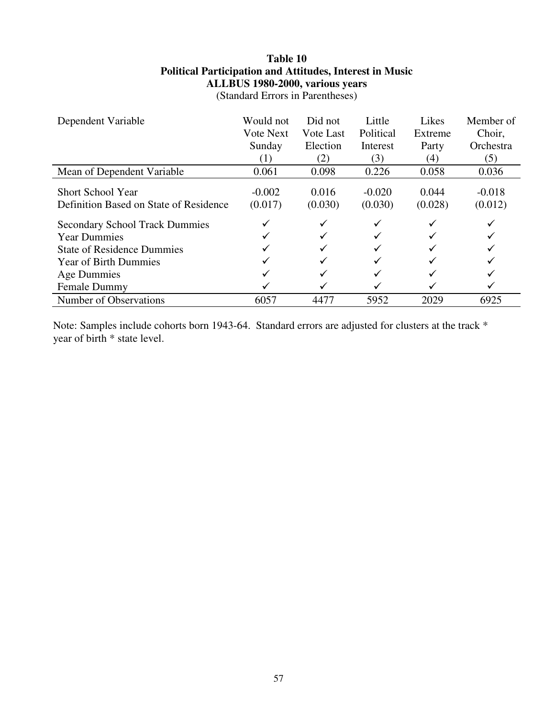### **Table 10 Political Participation and Attitudes, Interest in Music ALLBUS 1980-2000, various years**

(Standard Errors in Parentheses)

| Dependent Variable                                                 | Would not           | Did not          | Little              | Likes            | Member of           |
|--------------------------------------------------------------------|---------------------|------------------|---------------------|------------------|---------------------|
|                                                                    | <b>Vote Next</b>    | Vote Last        | Political           | Extreme          | Choir,              |
|                                                                    | Sunday              | Election         | Interest            | Party            | Orchestra           |
|                                                                    | (1)                 | (2)              | (3)                 | (4)              | (5)                 |
| Mean of Dependent Variable                                         | 0.061               | 0.098            | 0.226               | 0.058            | 0.036               |
| <b>Short School Year</b><br>Definition Based on State of Residence | $-0.002$<br>(0.017) | 0.016<br>(0.030) | $-0.020$<br>(0.030) | 0.044<br>(0.028) | $-0.018$<br>(0.012) |
| <b>Secondary School Track Dummies</b>                              |                     |                  | ✓                   | ✓                |                     |
| <b>Year Dummies</b>                                                |                     |                  |                     |                  |                     |
| <b>State of Residence Dummies</b>                                  |                     |                  | ✓                   |                  |                     |
| <b>Year of Birth Dummies</b>                                       |                     |                  |                     |                  |                     |
| Age Dummies                                                        |                     |                  | ✓                   |                  |                     |
| Female Dummy                                                       |                     |                  |                     |                  |                     |
| Number of Observations                                             | 6057                | 4477             | 5952                | 2029             | 6925                |

Note: Samples include cohorts born 1943-64. Standard errors are adjusted for clusters at the track \* year of birth \* state level.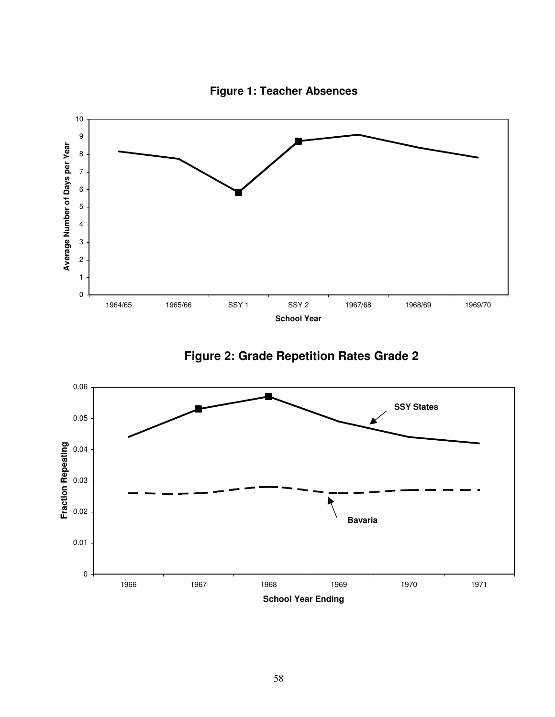

**Figure 1: Teacher Absences**



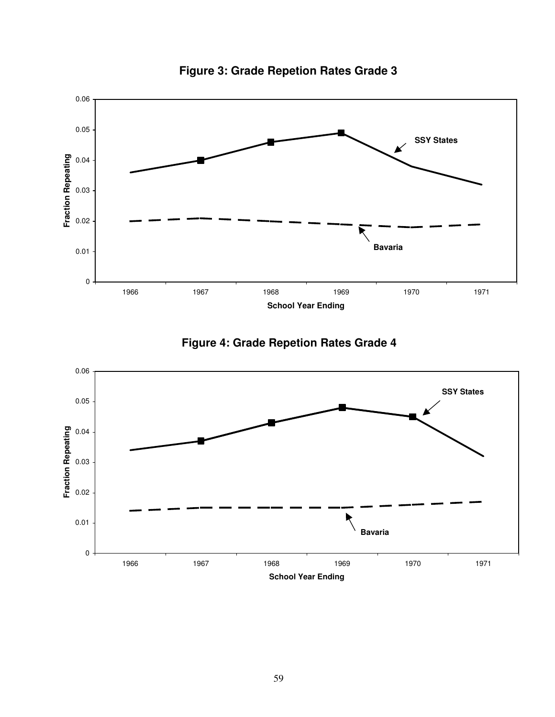

**Figure 3: Grade Repetion Rates Grade 3**



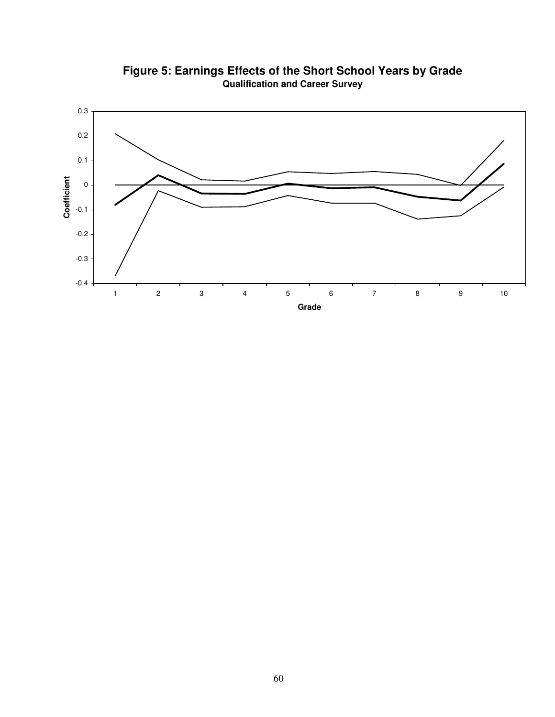

**Figure 5: Earnings Effects of the Short School Years by Grade Qualification and Career Survey**